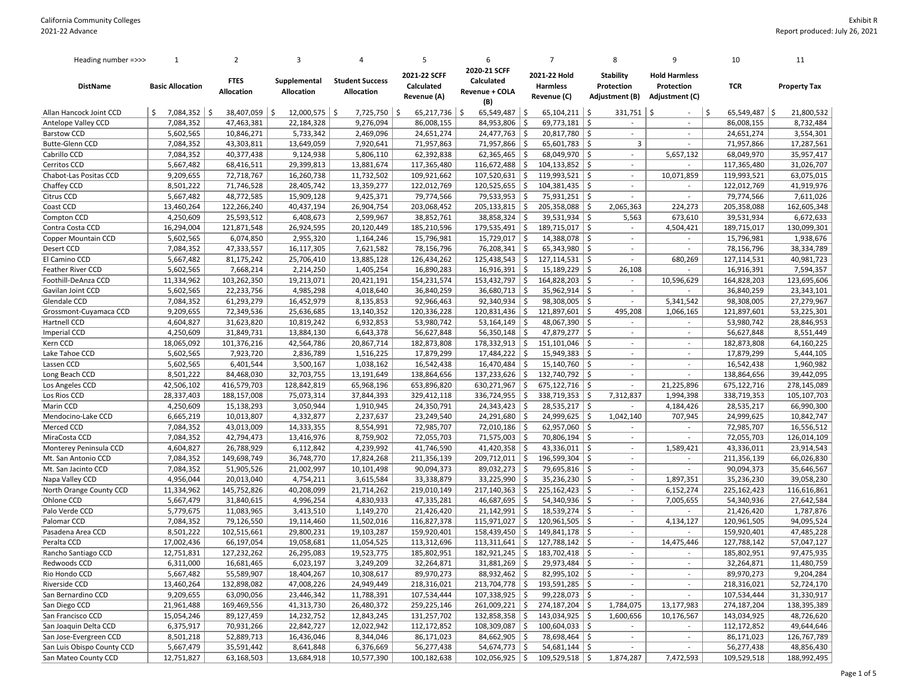| 2020-21 SCFF<br>2021-22 SCFF<br>2021-22 Hold<br><b>Stability</b><br><b>Hold Harmless</b><br>Calculated<br><b>FTES</b><br>Supplemental<br><b>Student Success</b><br><b>TCR</b><br><b>DistName</b><br>Calculated<br>Harmless<br>Protection<br>Protection<br><b>Property Tax</b><br><b>Basic Allocation</b><br><b>Allocation</b><br>Allocation<br>Allocation<br><b>Revenue + COLA</b><br>Revenue (A)<br>Adjustment (B)<br>Revenue (C)<br>Adjustment (C)<br>(B)<br>$65,549,487$ \$<br>\$<br>$12,000,575$   \$<br>$7,725,750$   \$<br>65,217,736<br>-\$<br>65,549,487<br>\$<br>$65,104,211$ \$<br>$331,751$ \$<br>\$.<br>21,800,532<br>Allan Hancock Joint CCD<br>$7,084,352$   \$<br>38,407,059<br>-Ś<br>$\ddot{\mathsf{S}}$<br>7,084,352<br>47,463,381<br>22,184,328<br>9,276,094<br>86,008,155<br>84,953,806<br>\$<br>69,773,181<br>8,732,484<br>Antelope Valley CCD<br>86,008,155<br>$\sim$<br>$\sim$<br>5,602,565<br>24,477,763<br>-\$<br>20,817,780<br>-\$<br><b>Barstow CCD</b><br>10,846,271<br>5,733,342<br>2,469,096<br>24,651,274<br>24,651,274<br>3,554,301<br>$\sim$<br>$\sim$<br>71,957,866<br>17,287,561<br>7,084,352<br>43,303,811<br>13,649,059<br>7,920,641<br>71,957,863<br>71,957,866<br>-\$<br>65,601,783<br>\$<br>3<br><b>Butte-Glenn CCD</b><br>Cabrillo CCD<br>40,377,438<br>5,806,110<br>62,392,838<br>62,365,465<br>\$<br>68,049,970<br>68,049,970<br>35,957,417<br>7,084,352<br>9,124,938<br>-\$<br>5,657,132<br>$\overline{\phantom{a}}$<br>S.<br>5,667,482<br>68,416,511<br>13,881,674<br>117,365,480<br>116,672,488<br>104,133,852<br>\$<br>117,365,480<br>31,026,707<br>Cerritos CCD<br>29,399,813<br>119,993,521<br>63,075,015<br>9,209,655<br>72,718,767<br>11,732,502<br>107,520,631<br>-\$<br>119,993,521<br>-\$<br>10,071,859<br>Chabot-Las Positas CCD<br>16,260,738<br>109,921,662<br>$\overline{\phantom{a}}$<br>71,746,528<br>120,525,655<br>\$<br>$104,381,435$ \$<br>41,919,976<br>Chaffey CCD<br>8,501,222<br>28,405,742<br>13,359,277<br>122,012,769<br>122,012,769<br>Citrus CCD<br>5,667,482<br>48,772,585<br>15,909,128<br>9,425,371<br>79,774,566<br>79,533,953 \$<br>75,931,251   \$<br>79,774,566<br>7,611,026<br>$\sim$<br>$\overline{\phantom{a}}$<br>13,460,264<br>122,266,240<br>26,904,754<br>$205, 133, 815$ \$<br>205,358,088 \$<br>224,273<br>205,358,088<br>162,605,348<br>Coast CCD<br>40,437,194<br>203,068,452<br>2,065,363<br>4,250,609<br>25,593,512<br>6,408,673<br>2,599,967<br>38,852,761<br>38,858,324<br>\$<br>$39,531,934$ \$<br>39,531,934<br>6,672,633<br>Compton CCD<br>5,563<br>673,610<br>$\ddot{\mathsf{S}}$<br>189,715,017<br>130,099,301<br>16,294,004<br>121,871,548<br>26,924,595<br>20,120,449<br>185,210,596<br>179,535,491<br>189,715,017 \$<br>Contra Costa CCD<br>4,504,421<br>$\sim$<br>5,602,565<br>6,074,850<br>2,955,320<br>1,164,246<br>15,796,981<br>15,729,017<br>-\$<br>14,388,078<br>-\$<br>15,796,981<br>1,938,676<br>Copper Mountain CCD<br>$\sim$<br>$\overline{\phantom{a}}$<br>7,084,352<br>47,333,557<br>76,208,341<br>-\$<br>65,343,980<br>-\$<br>78,156,796<br>38,334,789<br>Desert CCD<br>16,117,305<br>7,621,582<br>78,156,796<br>$\sim$<br>$\overline{\phantom{a}}$<br>40,981,723<br>El Camino CCD<br>5,667,482<br>81,175,242<br>25,706,410<br>13,885,128<br>126,434,262<br>125,438,543<br>-\$<br>127,114,531<br>-\$<br>680,269<br>127,114,531<br>$\overline{\phantom{a}}$<br>5,602,565<br>7,668,214<br>1,405,254<br>16,916,391<br>15,189,229<br>7,594,357<br>Feather River CCD<br>2,214,250<br>16,890,283<br>-\$<br>-\$<br>26,108<br>16,916,391<br>11,334,962<br>103,262,350<br>19,213,071<br>20,421,191<br>154,231,574<br>153,432,797<br>\$<br>164,828,203<br>\$<br>10,596,629<br>164,828,203<br>123,695,606<br>Foothill-DeAnza CCD<br>36,840,259<br>23,343,101<br>5,602,565<br>22,233,756<br>4,985,298<br>36,680,713<br>-\$<br>35,962,914<br>\$<br>Gavilan Joint CCD<br>4,018,640<br>36,840,259<br>$\overline{\phantom{a}}$<br>27,279,967<br>7,084,352<br>61,293,279<br>16,452,979<br>8,135,853<br>92,966,463<br>92,340,934<br>\$<br>98,308,005<br>\$<br>5,341,542<br>98,308,005<br>Glendale CCD<br>9,209,655<br>120,831,436<br>\$<br>121,897,601<br>\$<br>495,208<br>121,897,601<br>53,225,301<br>Grossmont-Cuyamaca CCD<br>72,349,536<br>25,636,685<br>13,140,352<br>120,336,228<br>1,066,165<br>53,980,742<br>28,846,953<br>4,604,827<br>31,623,820<br>10,819,242<br>6,932,853<br>53,980,742<br>$53,164,149$ \$<br>48,067,390 \$<br>Hartnell CCD<br>$\sim$<br>$\overline{\phantom{a}}$<br>Imperial CCD<br>4,250,609<br>31,849,731<br>6,643,378<br>$56,350,148$ \$<br>$47,879,277$ \$<br>56,627,848<br>8,551,449<br>13,884,130<br>56,627,848<br>$\sim$<br>$\sim$<br>182,873,808<br>64,160,225<br>Kern CCD<br>18,065,092<br>101,376,216<br>20,867,714<br>182,873,808<br>$178,332,913$ \$<br>$151,101,046$   \$<br>42,564,786<br>$\sim$<br>$\overline{\phantom{a}}$<br>5,602,565<br>7,923,720<br>Lake Tahoe CCD<br>2,836,789<br>1,516,225<br>17,879,299<br>17,484,222<br>-\$<br>15,949,383<br>l \$<br>17,879,299<br>5,444,105<br>$\overline{\phantom{a}}$<br>$\sim$<br>$\ddot{\mathsf{S}}$<br>5,602,565<br>6,401,544<br>3,500,167<br>16,542,438<br>16,470,484<br>$15,140,760$ $\mid$ \$<br>1,960,982<br>Lassen CCD<br>1,038,162<br>16,542,438<br>$\sim$<br>138,864,656<br>39,442,095<br>8,501,222<br>84,468,030<br>32,703,755<br>13,191,649<br>137,233,626<br>\$<br>132,740,792<br>S.<br>Long Beach CCD<br>138,864,656<br>$\sim$<br>42,506,102<br>416,579,703<br>128,842,819<br>65,968,196<br>630,271,967<br>\$<br>675,122,716<br>\$<br>21,225,896<br>Los Angeles CCD<br>653,896,820<br>675,122,716<br>278,145,089<br>$\sim$<br>28,337,403<br>188,157,008<br>75,073,314<br>37,844,393<br>329,412,118<br>336,724,955<br>-\$<br>338,719,353<br>7,312,837<br>1,994,398<br>338,719,353<br>105,107,703<br>Los Rios CCD<br>-\$<br>4,250,609<br>15,138,293<br>3,050,944<br>1,910,945<br>24,350,791<br>24,343,423<br>28,535,217<br>  \$<br>4,184,426<br>28,535,217<br>66,990,300<br>Marin CCD<br>-\$<br>6,665,219<br>10,013,807<br>4,332,877<br>2,237,637<br>24,291,680<br>\$<br>24,999,625<br>1,042,140<br>707,945<br>24,999,625<br>10,842,747<br>Mendocino-Lake CCD<br>23,249,540<br>-\$<br>Merced CCD<br>72,010,186<br>-\$<br>62,957,060<br>\$<br>72,985,707<br>16,556,512<br>7,084,352<br>43,013,009<br>14,333,355<br>8,554,991<br>72,985,707<br>-\$<br>S.<br>72,055,703<br>126,014,109<br>7,084,352<br>42,794,473<br>13,416,976<br>8,759,902<br>72,055,703<br>71,575,003<br>70,806,194<br>MiraCosta CCD<br>4,604,827<br>26,788,929<br>4,239,992<br>41,746,590<br>$41,420,358$ \$<br>$43,336,011$ \$<br>43,336,011<br>23,914,543<br>Monterey Peninsula CCD<br>6,112,842<br>1,589,421<br>$\overline{\phantom{a}}$<br>$209,712,011$ \$<br>7,084,352<br>149,698,749<br>36,748,770<br>17,824,268<br>211,356,139<br>196,599,304 \$<br>211,356,139<br>66,026,830<br>Mt. San Antonio CCD<br>$\overline{\phantom{a}}$<br>$\sim$<br>7,084,352<br>51,905,526<br>21,002,997<br>10,101,498<br>90,094,373<br>$89,032,273$ \$<br>79,695,816 \$<br>90,094,373<br>35,646,567<br>Mt. San Jacinto CCD<br>$\sim$<br>$\sim$<br>4,956,044<br>20,013,040<br>33,338,879<br>$33,225,990$ \$<br>$35,236,230$ \$<br>1,897,351<br>35,236,230<br>39,058,230<br>Napa Valley CCD<br>4,754,211<br>3,615,584<br>$\overline{\phantom{a}}$<br>$\ddot{\mathsf{S}}$<br>S.<br>225,162,423<br>116,616,861<br>11,334,962<br>145,752,826<br>40,208,099<br>21,714,262<br>217,140,363<br>225,162,423<br>6,152,274<br>North Orange County CCD<br>219,010,149<br>$\sim$<br>5,667,479<br>46,687,695<br>\$<br>54,340,936<br>  \$<br>Ohlone CCD<br>31,840,615<br>4,996,254<br>4,830,933<br>47,335,281<br>7,005,655<br>54,340,936<br>27,642,584<br>$\overline{\phantom{a}}$<br>Palo Verde CCD<br>5,779,675<br>11,083,965<br>3,413,510<br>1,149,270<br>21,142,991<br>\$<br>18,539,274<br>S.<br>21,426,420<br>1,787,876<br>21,426,420<br>$\sim$<br>$\sim$<br>94,095,524<br>Palomar CCD<br>7,084,352<br>79,126,550<br>11,502,016<br>116,827,378<br>115,971,027<br>\$<br>120,961,505<br>-\$<br>120,961,505<br>19,114,460<br>4,134,127<br>$\overline{\phantom{a}}$<br>8,501,222<br>102,515,661<br>29,800,231<br>19,103,287<br>159,920,401<br>158,439,450<br>149,841,178<br>159,920,401<br>47,485,228<br>Pasadena Area CCD<br>\$.<br>-\$<br>$\sim$<br>Peralta CCD<br>17,002,436<br>-\$<br>127,788,142<br>127,788,142<br>57,047,127<br>66,197,054<br>19,058,681<br>11,054,525<br>113,312,696<br>113,311,641<br>-\$<br>14,475,446<br>$\overline{\phantom{a}}$<br>$\ddot{\mathsf{S}}$<br>185,802,951<br>97,475,935<br>12,751,831<br>182,921,245<br>183,702,418<br>-\$<br>Rancho Santiago CCD<br>127,232,262<br>26,295,083<br>19,523,775<br>185,802,951<br>6,311,000<br>6,023,197<br>-\$<br>29,973,484<br>-\$<br>11,480,759<br>Redwoods CCD<br>16,681,465<br>3,249,209<br>32,264,871<br>31,881,269<br>32,264,871<br>55,589,907<br>18,404,267<br>10,308,617<br>89,970,273<br>88,932,462 \$<br>$82,995,102$ \$<br>89,970,273<br>9,204,284<br>Rio Hondo CCD<br>5,667,482<br>$\overline{\phantom{a}}$<br>$\sim$<br>218,316,021<br>52,724,170<br>Riverside CCD<br>13,460,264<br>132,898,082<br>47,008,226<br>24,949,449<br>218,316,021<br>$213,704,778$ \$<br>$193,591,285$ \$<br>$\overline{\phantom{a}}$<br>$\sim$<br>San Bernardino CCD<br>9,209,655<br>63,090,056<br>23,446,342<br>11,788,391<br>107,534,444<br>$107,338,925$ \$<br>$99,228,073$ \$<br>107,534,444<br>31,330,917<br>$\sim$<br>$\sim$<br>274,187,204<br>138,395,389<br>San Diego CCD<br>21,961,488<br>169,469,556<br>41,313,730<br>26,480,372<br>259,225,146<br>$261,009,221$ \$<br>$274,187,204$ \$<br>1,784,075<br>13,177,983<br>San Francisco CCD<br>89,127,459<br>14,232,752<br>131,257,702<br>$132,858,358$ $\frac{1}{2}$<br>143,034,925 \$<br>143,034,925<br>48,726,620<br>15,054,246<br>12,843,245<br>1,600,656<br>10,176,567<br>$100,604,033$ \$<br>San Joaquin Delta CCD<br>6,375,917<br>70,931,266<br>22,842,727<br>12,022,942<br>112,172,852<br>108,309,087<br>\$<br>112,172,852<br>49,644,646<br>$\sim$<br>$\sim$<br>126,767,789<br>San Jose-Evergreen CCD<br>52,889,713<br>84,662,905<br>86,171,023<br>8,501,218<br>16,436,046<br>8,344,046<br>86,171,023<br>-\$<br>78,698,464   \$<br>$\overline{\phantom{a}}$<br>$\sim$<br>San Luis Obispo County CCD<br>5,667,479<br>35,591,442<br>8,641,848<br>6,376,669<br>\$<br>\$<br>56,277,438<br>48,856,430<br>56,277,438<br>54,674,773<br>54,681,144<br>$\sim$<br>$102,056,925$ \$<br>$109,529,518$ \$<br>109,529,518 | Heading number =>>>  | 1          | $\overline{2}$ | 3          |            | 5           | 6 | 7 | 8         | 9         | 10 | 11          |
|-------------------------------------------------------------------------------------------------------------------------------------------------------------------------------------------------------------------------------------------------------------------------------------------------------------------------------------------------------------------------------------------------------------------------------------------------------------------------------------------------------------------------------------------------------------------------------------------------------------------------------------------------------------------------------------------------------------------------------------------------------------------------------------------------------------------------------------------------------------------------------------------------------------------------------------------------------------------------------------------------------------------------------------------------------------------------------------------------------------------------------------------------------------------------------------------------------------------------------------------------------------------------------------------------------------------------------------------------------------------------------------------------------------------------------------------------------------------------------------------------------------------------------------------------------------------------------------------------------------------------------------------------------------------------------------------------------------------------------------------------------------------------------------------------------------------------------------------------------------------------------------------------------------------------------------------------------------------------------------------------------------------------------------------------------------------------------------------------------------------------------------------------------------------------------------------------------------------------------------------------------------------------------------------------------------------------------------------------------------------------------------------------------------------------------------------------------------------------------------------------------------------------------------------------------------------------------------------------------------------------------------------------------------------------------------------------------------------------------------------------------------------------------------------------------------------------------------------------------------------------------------------------------------------------------------------------------------------------------------------------------------------------------------------------------------------------------------------------------------------------------------------------------------------------------------------------------------------------------------------------------------------------------------------------------------------------------------------------------------------------------------------------------------------------------------------------------------------------------------------------------------------------------------------------------------------------------------------------------------------------------------------------------------------------------------------------------------------------------------------------------------------------------------------------------------------------------------------------------------------------------------------------------------------------------------------------------------------------------------------------------------------------------------------------------------------------------------------------------------------------------------------------------------------------------------------------------------------------------------------------------------------------------------------------------------------------------------------------------------------------------------------------------------------------------------------------------------------------------------------------------------------------------------------------------------------------------------------------------------------------------------------------------------------------------------------------------------------------------------------------------------------------------------------------------------------------------------------------------------------------------------------------------------------------------------------------------------------------------------------------------------------------------------------------------------------------------------------------------------------------------------------------------------------------------------------------------------------------------------------------------------------------------------------------------------------------------------------------------------------------------------------------------------------------------------------------------------------------------------------------------------------------------------------------------------------------------------------------------------------------------------------------------------------------------------------------------------------------------------------------------------------------------------------------------------------------------------------------------------------------------------------------------------------------------------------------------------------------------------------------------------------------------------------------------------------------------------------------------------------------------------------------------------------------------------------------------------------------------------------------------------------------------------------------------------------------------------------------------------------------------------------------------------------------------------------------------------------------------------------------------------------------------------------------------------------------------------------------------------------------------------------------------------------------------------------------------------------------------------------------------------------------------------------------------------------------------------------------------------------------------------------------------------------------------------------------------------------------------------------------------------------------------------------------------------------------------------------------------------------------------------------------------------------------------------------------------------------------------------------------------------------------------------------------------------------------------------------------------------------------------------------------------------------------------------------------------------------------------------------------------------------------------------------------------------------------------------------------------------------------------------------------------------------------------------------------------------------------------------------------------------------------------------------------------------------------------------------------------------------------------------------------------------------------------------------------------------------------------------------------------------------------------------------------------------------------------------------------------------------------------------------------------------------------------------------------------------------------------------------------------------------------------------------------------------------------------------------------------------------------------------------------------------------------------------------------------------------------------------------------------------------------------------------------------------------------------------------------------------------------------------------------------------------------------------------------------------------------------------------------------------------------------------------------------------------------------------------------------------------------------------------------------------------------------------------------------------------------------------------------------------------------------------------------------------------------------------------------------------------------------------------------------------------------------------------------------------------------------------------------------------------------------------------------------------------------------------------------------------------------------------------------------------------------------------------------------------------------------------------------------------------------------------------------------------------------------------------------------------------------------------------------------------------------------------------------------------------------------------------------------------------------------------------------------------------------------------------------------------------------------------------------------------------------------------------------------------------------------------------------------------------------------------------------------------------------------------------------------------------------------------------------------------------------------------------------------------------------------------------------------------------------------------------------------------------------------------------------------------------------------------------------------------------------------------------------------------------------------------|----------------------|------------|----------------|------------|------------|-------------|---|---|-----------|-----------|----|-------------|
|                                                                                                                                                                                                                                                                                                                                                                                                                                                                                                                                                                                                                                                                                                                                                                                                                                                                                                                                                                                                                                                                                                                                                                                                                                                                                                                                                                                                                                                                                                                                                                                                                                                                                                                                                                                                                                                                                                                                                                                                                                                                                                                                                                                                                                                                                                                                                                                                                                                                                                                                                                                                                                                                                                                                                                                                                                                                                                                                                                                                                                                                                                                                                                                                                                                                                                                                                                                                                                                                                                                                                                                                                                                                                                                                                                                                                                                                                                                                                                                                                                                                                                                                                                                                                                                                                                                                                                                                                                                                                                                                                                                                                                                                                                                                                                                                                                                                                                                                                                                                                                                                                                                                                                                                                                                                                                                                                                                                                                                                                                                                                                                                                                                                                                                                                                                                                                                                                                                                                                                                                                                                                                                                                                                                                                                                                                                                                                                                                                                                                                                                                                                                                                                                                                                                                                                                                                                                                                                                                                                                                                                                                                                                                                                                                                                                                                                                                                                                                                                                                                                                                                                                                                                                                                                                                                                                                                                                                                                                                                                                                                                                                                                                                                                                                                                                                                                                                                                                                                                                                                                                                                                                                                                                                                                                                                                                                                                                                                                                                                                                                                                                                                                                                                                                                                                                                                                                                                                                                                                                                                                                                                                                                                                                                                                                                                                                                                                                                                                                                                                                                                                                                                                                                                                                                                                                                                                                                                                                                                                                                     |                      |            |                |            |            |             |   |   |           |           |    |             |
|                                                                                                                                                                                                                                                                                                                                                                                                                                                                                                                                                                                                                                                                                                                                                                                                                                                                                                                                                                                                                                                                                                                                                                                                                                                                                                                                                                                                                                                                                                                                                                                                                                                                                                                                                                                                                                                                                                                                                                                                                                                                                                                                                                                                                                                                                                                                                                                                                                                                                                                                                                                                                                                                                                                                                                                                                                                                                                                                                                                                                                                                                                                                                                                                                                                                                                                                                                                                                                                                                                                                                                                                                                                                                                                                                                                                                                                                                                                                                                                                                                                                                                                                                                                                                                                                                                                                                                                                                                                                                                                                                                                                                                                                                                                                                                                                                                                                                                                                                                                                                                                                                                                                                                                                                                                                                                                                                                                                                                                                                                                                                                                                                                                                                                                                                                                                                                                                                                                                                                                                                                                                                                                                                                                                                                                                                                                                                                                                                                                                                                                                                                                                                                                                                                                                                                                                                                                                                                                                                                                                                                                                                                                                                                                                                                                                                                                                                                                                                                                                                                                                                                                                                                                                                                                                                                                                                                                                                                                                                                                                                                                                                                                                                                                                                                                                                                                                                                                                                                                                                                                                                                                                                                                                                                                                                                                                                                                                                                                                                                                                                                                                                                                                                                                                                                                                                                                                                                                                                                                                                                                                                                                                                                                                                                                                                                                                                                                                                                                                                                                                                                                                                                                                                                                                                                                                                                                                                                                                                                                                                     |                      |            |                |            |            |             |   |   |           |           |    |             |
|                                                                                                                                                                                                                                                                                                                                                                                                                                                                                                                                                                                                                                                                                                                                                                                                                                                                                                                                                                                                                                                                                                                                                                                                                                                                                                                                                                                                                                                                                                                                                                                                                                                                                                                                                                                                                                                                                                                                                                                                                                                                                                                                                                                                                                                                                                                                                                                                                                                                                                                                                                                                                                                                                                                                                                                                                                                                                                                                                                                                                                                                                                                                                                                                                                                                                                                                                                                                                                                                                                                                                                                                                                                                                                                                                                                                                                                                                                                                                                                                                                                                                                                                                                                                                                                                                                                                                                                                                                                                                                                                                                                                                                                                                                                                                                                                                                                                                                                                                                                                                                                                                                                                                                                                                                                                                                                                                                                                                                                                                                                                                                                                                                                                                                                                                                                                                                                                                                                                                                                                                                                                                                                                                                                                                                                                                                                                                                                                                                                                                                                                                                                                                                                                                                                                                                                                                                                                                                                                                                                                                                                                                                                                                                                                                                                                                                                                                                                                                                                                                                                                                                                                                                                                                                                                                                                                                                                                                                                                                                                                                                                                                                                                                                                                                                                                                                                                                                                                                                                                                                                                                                                                                                                                                                                                                                                                                                                                                                                                                                                                                                                                                                                                                                                                                                                                                                                                                                                                                                                                                                                                                                                                                                                                                                                                                                                                                                                                                                                                                                                                                                                                                                                                                                                                                                                                                                                                                                                                                                                                                     |                      |            |                |            |            |             |   |   |           |           |    |             |
|                                                                                                                                                                                                                                                                                                                                                                                                                                                                                                                                                                                                                                                                                                                                                                                                                                                                                                                                                                                                                                                                                                                                                                                                                                                                                                                                                                                                                                                                                                                                                                                                                                                                                                                                                                                                                                                                                                                                                                                                                                                                                                                                                                                                                                                                                                                                                                                                                                                                                                                                                                                                                                                                                                                                                                                                                                                                                                                                                                                                                                                                                                                                                                                                                                                                                                                                                                                                                                                                                                                                                                                                                                                                                                                                                                                                                                                                                                                                                                                                                                                                                                                                                                                                                                                                                                                                                                                                                                                                                                                                                                                                                                                                                                                                                                                                                                                                                                                                                                                                                                                                                                                                                                                                                                                                                                                                                                                                                                                                                                                                                                                                                                                                                                                                                                                                                                                                                                                                                                                                                                                                                                                                                                                                                                                                                                                                                                                                                                                                                                                                                                                                                                                                                                                                                                                                                                                                                                                                                                                                                                                                                                                                                                                                                                                                                                                                                                                                                                                                                                                                                                                                                                                                                                                                                                                                                                                                                                                                                                                                                                                                                                                                                                                                                                                                                                                                                                                                                                                                                                                                                                                                                                                                                                                                                                                                                                                                                                                                                                                                                                                                                                                                                                                                                                                                                                                                                                                                                                                                                                                                                                                                                                                                                                                                                                                                                                                                                                                                                                                                                                                                                                                                                                                                                                                                                                                                                                                                                                                                                     |                      |            |                |            |            |             |   |   |           |           |    |             |
|                                                                                                                                                                                                                                                                                                                                                                                                                                                                                                                                                                                                                                                                                                                                                                                                                                                                                                                                                                                                                                                                                                                                                                                                                                                                                                                                                                                                                                                                                                                                                                                                                                                                                                                                                                                                                                                                                                                                                                                                                                                                                                                                                                                                                                                                                                                                                                                                                                                                                                                                                                                                                                                                                                                                                                                                                                                                                                                                                                                                                                                                                                                                                                                                                                                                                                                                                                                                                                                                                                                                                                                                                                                                                                                                                                                                                                                                                                                                                                                                                                                                                                                                                                                                                                                                                                                                                                                                                                                                                                                                                                                                                                                                                                                                                                                                                                                                                                                                                                                                                                                                                                                                                                                                                                                                                                                                                                                                                                                                                                                                                                                                                                                                                                                                                                                                                                                                                                                                                                                                                                                                                                                                                                                                                                                                                                                                                                                                                                                                                                                                                                                                                                                                                                                                                                                                                                                                                                                                                                                                                                                                                                                                                                                                                                                                                                                                                                                                                                                                                                                                                                                                                                                                                                                                                                                                                                                                                                                                                                                                                                                                                                                                                                                                                                                                                                                                                                                                                                                                                                                                                                                                                                                                                                                                                                                                                                                                                                                                                                                                                                                                                                                                                                                                                                                                                                                                                                                                                                                                                                                                                                                                                                                                                                                                                                                                                                                                                                                                                                                                                                                                                                                                                                                                                                                                                                                                                                                                                                                                                     |                      |            |                |            |            |             |   |   |           |           |    |             |
|                                                                                                                                                                                                                                                                                                                                                                                                                                                                                                                                                                                                                                                                                                                                                                                                                                                                                                                                                                                                                                                                                                                                                                                                                                                                                                                                                                                                                                                                                                                                                                                                                                                                                                                                                                                                                                                                                                                                                                                                                                                                                                                                                                                                                                                                                                                                                                                                                                                                                                                                                                                                                                                                                                                                                                                                                                                                                                                                                                                                                                                                                                                                                                                                                                                                                                                                                                                                                                                                                                                                                                                                                                                                                                                                                                                                                                                                                                                                                                                                                                                                                                                                                                                                                                                                                                                                                                                                                                                                                                                                                                                                                                                                                                                                                                                                                                                                                                                                                                                                                                                                                                                                                                                                                                                                                                                                                                                                                                                                                                                                                                                                                                                                                                                                                                                                                                                                                                                                                                                                                                                                                                                                                                                                                                                                                                                                                                                                                                                                                                                                                                                                                                                                                                                                                                                                                                                                                                                                                                                                                                                                                                                                                                                                                                                                                                                                                                                                                                                                                                                                                                                                                                                                                                                                                                                                                                                                                                                                                                                                                                                                                                                                                                                                                                                                                                                                                                                                                                                                                                                                                                                                                                                                                                                                                                                                                                                                                                                                                                                                                                                                                                                                                                                                                                                                                                                                                                                                                                                                                                                                                                                                                                                                                                                                                                                                                                                                                                                                                                                                                                                                                                                                                                                                                                                                                                                                                                                                                                                                                     |                      |            |                |            |            |             |   |   |           |           |    |             |
|                                                                                                                                                                                                                                                                                                                                                                                                                                                                                                                                                                                                                                                                                                                                                                                                                                                                                                                                                                                                                                                                                                                                                                                                                                                                                                                                                                                                                                                                                                                                                                                                                                                                                                                                                                                                                                                                                                                                                                                                                                                                                                                                                                                                                                                                                                                                                                                                                                                                                                                                                                                                                                                                                                                                                                                                                                                                                                                                                                                                                                                                                                                                                                                                                                                                                                                                                                                                                                                                                                                                                                                                                                                                                                                                                                                                                                                                                                                                                                                                                                                                                                                                                                                                                                                                                                                                                                                                                                                                                                                                                                                                                                                                                                                                                                                                                                                                                                                                                                                                                                                                                                                                                                                                                                                                                                                                                                                                                                                                                                                                                                                                                                                                                                                                                                                                                                                                                                                                                                                                                                                                                                                                                                                                                                                                                                                                                                                                                                                                                                                                                                                                                                                                                                                                                                                                                                                                                                                                                                                                                                                                                                                                                                                                                                                                                                                                                                                                                                                                                                                                                                                                                                                                                                                                                                                                                                                                                                                                                                                                                                                                                                                                                                                                                                                                                                                                                                                                                                                                                                                                                                                                                                                                                                                                                                                                                                                                                                                                                                                                                                                                                                                                                                                                                                                                                                                                                                                                                                                                                                                                                                                                                                                                                                                                                                                                                                                                                                                                                                                                                                                                                                                                                                                                                                                                                                                                                                                                                                                                                     |                      |            |                |            |            |             |   |   |           |           |    |             |
|                                                                                                                                                                                                                                                                                                                                                                                                                                                                                                                                                                                                                                                                                                                                                                                                                                                                                                                                                                                                                                                                                                                                                                                                                                                                                                                                                                                                                                                                                                                                                                                                                                                                                                                                                                                                                                                                                                                                                                                                                                                                                                                                                                                                                                                                                                                                                                                                                                                                                                                                                                                                                                                                                                                                                                                                                                                                                                                                                                                                                                                                                                                                                                                                                                                                                                                                                                                                                                                                                                                                                                                                                                                                                                                                                                                                                                                                                                                                                                                                                                                                                                                                                                                                                                                                                                                                                                                                                                                                                                                                                                                                                                                                                                                                                                                                                                                                                                                                                                                                                                                                                                                                                                                                                                                                                                                                                                                                                                                                                                                                                                                                                                                                                                                                                                                                                                                                                                                                                                                                                                                                                                                                                                                                                                                                                                                                                                                                                                                                                                                                                                                                                                                                                                                                                                                                                                                                                                                                                                                                                                                                                                                                                                                                                                                                                                                                                                                                                                                                                                                                                                                                                                                                                                                                                                                                                                                                                                                                                                                                                                                                                                                                                                                                                                                                                                                                                                                                                                                                                                                                                                                                                                                                                                                                                                                                                                                                                                                                                                                                                                                                                                                                                                                                                                                                                                                                                                                                                                                                                                                                                                                                                                                                                                                                                                                                                                                                                                                                                                                                                                                                                                                                                                                                                                                                                                                                                                                                                                                                                     |                      |            |                |            |            |             |   |   |           |           |    |             |
|                                                                                                                                                                                                                                                                                                                                                                                                                                                                                                                                                                                                                                                                                                                                                                                                                                                                                                                                                                                                                                                                                                                                                                                                                                                                                                                                                                                                                                                                                                                                                                                                                                                                                                                                                                                                                                                                                                                                                                                                                                                                                                                                                                                                                                                                                                                                                                                                                                                                                                                                                                                                                                                                                                                                                                                                                                                                                                                                                                                                                                                                                                                                                                                                                                                                                                                                                                                                                                                                                                                                                                                                                                                                                                                                                                                                                                                                                                                                                                                                                                                                                                                                                                                                                                                                                                                                                                                                                                                                                                                                                                                                                                                                                                                                                                                                                                                                                                                                                                                                                                                                                                                                                                                                                                                                                                                                                                                                                                                                                                                                                                                                                                                                                                                                                                                                                                                                                                                                                                                                                                                                                                                                                                                                                                                                                                                                                                                                                                                                                                                                                                                                                                                                                                                                                                                                                                                                                                                                                                                                                                                                                                                                                                                                                                                                                                                                                                                                                                                                                                                                                                                                                                                                                                                                                                                                                                                                                                                                                                                                                                                                                                                                                                                                                                                                                                                                                                                                                                                                                                                                                                                                                                                                                                                                                                                                                                                                                                                                                                                                                                                                                                                                                                                                                                                                                                                                                                                                                                                                                                                                                                                                                                                                                                                                                                                                                                                                                                                                                                                                                                                                                                                                                                                                                                                                                                                                                                                                                                                                                     |                      |            |                |            |            |             |   |   |           |           |    |             |
|                                                                                                                                                                                                                                                                                                                                                                                                                                                                                                                                                                                                                                                                                                                                                                                                                                                                                                                                                                                                                                                                                                                                                                                                                                                                                                                                                                                                                                                                                                                                                                                                                                                                                                                                                                                                                                                                                                                                                                                                                                                                                                                                                                                                                                                                                                                                                                                                                                                                                                                                                                                                                                                                                                                                                                                                                                                                                                                                                                                                                                                                                                                                                                                                                                                                                                                                                                                                                                                                                                                                                                                                                                                                                                                                                                                                                                                                                                                                                                                                                                                                                                                                                                                                                                                                                                                                                                                                                                                                                                                                                                                                                                                                                                                                                                                                                                                                                                                                                                                                                                                                                                                                                                                                                                                                                                                                                                                                                                                                                                                                                                                                                                                                                                                                                                                                                                                                                                                                                                                                                                                                                                                                                                                                                                                                                                                                                                                                                                                                                                                                                                                                                                                                                                                                                                                                                                                                                                                                                                                                                                                                                                                                                                                                                                                                                                                                                                                                                                                                                                                                                                                                                                                                                                                                                                                                                                                                                                                                                                                                                                                                                                                                                                                                                                                                                                                                                                                                                                                                                                                                                                                                                                                                                                                                                                                                                                                                                                                                                                                                                                                                                                                                                                                                                                                                                                                                                                                                                                                                                                                                                                                                                                                                                                                                                                                                                                                                                                                                                                                                                                                                                                                                                                                                                                                                                                                                                                                                                                                                                     |                      |            |                |            |            |             |   |   |           |           |    |             |
|                                                                                                                                                                                                                                                                                                                                                                                                                                                                                                                                                                                                                                                                                                                                                                                                                                                                                                                                                                                                                                                                                                                                                                                                                                                                                                                                                                                                                                                                                                                                                                                                                                                                                                                                                                                                                                                                                                                                                                                                                                                                                                                                                                                                                                                                                                                                                                                                                                                                                                                                                                                                                                                                                                                                                                                                                                                                                                                                                                                                                                                                                                                                                                                                                                                                                                                                                                                                                                                                                                                                                                                                                                                                                                                                                                                                                                                                                                                                                                                                                                                                                                                                                                                                                                                                                                                                                                                                                                                                                                                                                                                                                                                                                                                                                                                                                                                                                                                                                                                                                                                                                                                                                                                                                                                                                                                                                                                                                                                                                                                                                                                                                                                                                                                                                                                                                                                                                                                                                                                                                                                                                                                                                                                                                                                                                                                                                                                                                                                                                                                                                                                                                                                                                                                                                                                                                                                                                                                                                                                                                                                                                                                                                                                                                                                                                                                                                                                                                                                                                                                                                                                                                                                                                                                                                                                                                                                                                                                                                                                                                                                                                                                                                                                                                                                                                                                                                                                                                                                                                                                                                                                                                                                                                                                                                                                                                                                                                                                                                                                                                                                                                                                                                                                                                                                                                                                                                                                                                                                                                                                                                                                                                                                                                                                                                                                                                                                                                                                                                                                                                                                                                                                                                                                                                                                                                                                                                                                                                                                                                     |                      |            |                |            |            |             |   |   |           |           |    |             |
|                                                                                                                                                                                                                                                                                                                                                                                                                                                                                                                                                                                                                                                                                                                                                                                                                                                                                                                                                                                                                                                                                                                                                                                                                                                                                                                                                                                                                                                                                                                                                                                                                                                                                                                                                                                                                                                                                                                                                                                                                                                                                                                                                                                                                                                                                                                                                                                                                                                                                                                                                                                                                                                                                                                                                                                                                                                                                                                                                                                                                                                                                                                                                                                                                                                                                                                                                                                                                                                                                                                                                                                                                                                                                                                                                                                                                                                                                                                                                                                                                                                                                                                                                                                                                                                                                                                                                                                                                                                                                                                                                                                                                                                                                                                                                                                                                                                                                                                                                                                                                                                                                                                                                                                                                                                                                                                                                                                                                                                                                                                                                                                                                                                                                                                                                                                                                                                                                                                                                                                                                                                                                                                                                                                                                                                                                                                                                                                                                                                                                                                                                                                                                                                                                                                                                                                                                                                                                                                                                                                                                                                                                                                                                                                                                                                                                                                                                                                                                                                                                                                                                                                                                                                                                                                                                                                                                                                                                                                                                                                                                                                                                                                                                                                                                                                                                                                                                                                                                                                                                                                                                                                                                                                                                                                                                                                                                                                                                                                                                                                                                                                                                                                                                                                                                                                                                                                                                                                                                                                                                                                                                                                                                                                                                                                                                                                                                                                                                                                                                                                                                                                                                                                                                                                                                                                                                                                                                                                                                                                                                     |                      |            |                |            |            |             |   |   |           |           |    |             |
|                                                                                                                                                                                                                                                                                                                                                                                                                                                                                                                                                                                                                                                                                                                                                                                                                                                                                                                                                                                                                                                                                                                                                                                                                                                                                                                                                                                                                                                                                                                                                                                                                                                                                                                                                                                                                                                                                                                                                                                                                                                                                                                                                                                                                                                                                                                                                                                                                                                                                                                                                                                                                                                                                                                                                                                                                                                                                                                                                                                                                                                                                                                                                                                                                                                                                                                                                                                                                                                                                                                                                                                                                                                                                                                                                                                                                                                                                                                                                                                                                                                                                                                                                                                                                                                                                                                                                                                                                                                                                                                                                                                                                                                                                                                                                                                                                                                                                                                                                                                                                                                                                                                                                                                                                                                                                                                                                                                                                                                                                                                                                                                                                                                                                                                                                                                                                                                                                                                                                                                                                                                                                                                                                                                                                                                                                                                                                                                                                                                                                                                                                                                                                                                                                                                                                                                                                                                                                                                                                                                                                                                                                                                                                                                                                                                                                                                                                                                                                                                                                                                                                                                                                                                                                                                                                                                                                                                                                                                                                                                                                                                                                                                                                                                                                                                                                                                                                                                                                                                                                                                                                                                                                                                                                                                                                                                                                                                                                                                                                                                                                                                                                                                                                                                                                                                                                                                                                                                                                                                                                                                                                                                                                                                                                                                                                                                                                                                                                                                                                                                                                                                                                                                                                                                                                                                                                                                                                                                                                                                                                     |                      |            |                |            |            |             |   |   |           |           |    |             |
|                                                                                                                                                                                                                                                                                                                                                                                                                                                                                                                                                                                                                                                                                                                                                                                                                                                                                                                                                                                                                                                                                                                                                                                                                                                                                                                                                                                                                                                                                                                                                                                                                                                                                                                                                                                                                                                                                                                                                                                                                                                                                                                                                                                                                                                                                                                                                                                                                                                                                                                                                                                                                                                                                                                                                                                                                                                                                                                                                                                                                                                                                                                                                                                                                                                                                                                                                                                                                                                                                                                                                                                                                                                                                                                                                                                                                                                                                                                                                                                                                                                                                                                                                                                                                                                                                                                                                                                                                                                                                                                                                                                                                                                                                                                                                                                                                                                                                                                                                                                                                                                                                                                                                                                                                                                                                                                                                                                                                                                                                                                                                                                                                                                                                                                                                                                                                                                                                                                                                                                                                                                                                                                                                                                                                                                                                                                                                                                                                                                                                                                                                                                                                                                                                                                                                                                                                                                                                                                                                                                                                                                                                                                                                                                                                                                                                                                                                                                                                                                                                                                                                                                                                                                                                                                                                                                                                                                                                                                                                                                                                                                                                                                                                                                                                                                                                                                                                                                                                                                                                                                                                                                                                                                                                                                                                                                                                                                                                                                                                                                                                                                                                                                                                                                                                                                                                                                                                                                                                                                                                                                                                                                                                                                                                                                                                                                                                                                                                                                                                                                                                                                                                                                                                                                                                                                                                                                                                                                                                                                                                     |                      |            |                |            |            |             |   |   |           |           |    |             |
|                                                                                                                                                                                                                                                                                                                                                                                                                                                                                                                                                                                                                                                                                                                                                                                                                                                                                                                                                                                                                                                                                                                                                                                                                                                                                                                                                                                                                                                                                                                                                                                                                                                                                                                                                                                                                                                                                                                                                                                                                                                                                                                                                                                                                                                                                                                                                                                                                                                                                                                                                                                                                                                                                                                                                                                                                                                                                                                                                                                                                                                                                                                                                                                                                                                                                                                                                                                                                                                                                                                                                                                                                                                                                                                                                                                                                                                                                                                                                                                                                                                                                                                                                                                                                                                                                                                                                                                                                                                                                                                                                                                                                                                                                                                                                                                                                                                                                                                                                                                                                                                                                                                                                                                                                                                                                                                                                                                                                                                                                                                                                                                                                                                                                                                                                                                                                                                                                                                                                                                                                                                                                                                                                                                                                                                                                                                                                                                                                                                                                                                                                                                                                                                                                                                                                                                                                                                                                                                                                                                                                                                                                                                                                                                                                                                                                                                                                                                                                                                                                                                                                                                                                                                                                                                                                                                                                                                                                                                                                                                                                                                                                                                                                                                                                                                                                                                                                                                                                                                                                                                                                                                                                                                                                                                                                                                                                                                                                                                                                                                                                                                                                                                                                                                                                                                                                                                                                                                                                                                                                                                                                                                                                                                                                                                                                                                                                                                                                                                                                                                                                                                                                                                                                                                                                                                                                                                                                                                                                                                                                     |                      |            |                |            |            |             |   |   |           |           |    |             |
|                                                                                                                                                                                                                                                                                                                                                                                                                                                                                                                                                                                                                                                                                                                                                                                                                                                                                                                                                                                                                                                                                                                                                                                                                                                                                                                                                                                                                                                                                                                                                                                                                                                                                                                                                                                                                                                                                                                                                                                                                                                                                                                                                                                                                                                                                                                                                                                                                                                                                                                                                                                                                                                                                                                                                                                                                                                                                                                                                                                                                                                                                                                                                                                                                                                                                                                                                                                                                                                                                                                                                                                                                                                                                                                                                                                                                                                                                                                                                                                                                                                                                                                                                                                                                                                                                                                                                                                                                                                                                                                                                                                                                                                                                                                                                                                                                                                                                                                                                                                                                                                                                                                                                                                                                                                                                                                                                                                                                                                                                                                                                                                                                                                                                                                                                                                                                                                                                                                                                                                                                                                                                                                                                                                                                                                                                                                                                                                                                                                                                                                                                                                                                                                                                                                                                                                                                                                                                                                                                                                                                                                                                                                                                                                                                                                                                                                                                                                                                                                                                                                                                                                                                                                                                                                                                                                                                                                                                                                                                                                                                                                                                                                                                                                                                                                                                                                                                                                                                                                                                                                                                                                                                                                                                                                                                                                                                                                                                                                                                                                                                                                                                                                                                                                                                                                                                                                                                                                                                                                                                                                                                                                                                                                                                                                                                                                                                                                                                                                                                                                                                                                                                                                                                                                                                                                                                                                                                                                                                                                                                     |                      |            |                |            |            |             |   |   |           |           |    |             |
|                                                                                                                                                                                                                                                                                                                                                                                                                                                                                                                                                                                                                                                                                                                                                                                                                                                                                                                                                                                                                                                                                                                                                                                                                                                                                                                                                                                                                                                                                                                                                                                                                                                                                                                                                                                                                                                                                                                                                                                                                                                                                                                                                                                                                                                                                                                                                                                                                                                                                                                                                                                                                                                                                                                                                                                                                                                                                                                                                                                                                                                                                                                                                                                                                                                                                                                                                                                                                                                                                                                                                                                                                                                                                                                                                                                                                                                                                                                                                                                                                                                                                                                                                                                                                                                                                                                                                                                                                                                                                                                                                                                                                                                                                                                                                                                                                                                                                                                                                                                                                                                                                                                                                                                                                                                                                                                                                                                                                                                                                                                                                                                                                                                                                                                                                                                                                                                                                                                                                                                                                                                                                                                                                                                                                                                                                                                                                                                                                                                                                                                                                                                                                                                                                                                                                                                                                                                                                                                                                                                                                                                                                                                                                                                                                                                                                                                                                                                                                                                                                                                                                                                                                                                                                                                                                                                                                                                                                                                                                                                                                                                                                                                                                                                                                                                                                                                                                                                                                                                                                                                                                                                                                                                                                                                                                                                                                                                                                                                                                                                                                                                                                                                                                                                                                                                                                                                                                                                                                                                                                                                                                                                                                                                                                                                                                                                                                                                                                                                                                                                                                                                                                                                                                                                                                                                                                                                                                                                                                                                                                     |                      |            |                |            |            |             |   |   |           |           |    |             |
|                                                                                                                                                                                                                                                                                                                                                                                                                                                                                                                                                                                                                                                                                                                                                                                                                                                                                                                                                                                                                                                                                                                                                                                                                                                                                                                                                                                                                                                                                                                                                                                                                                                                                                                                                                                                                                                                                                                                                                                                                                                                                                                                                                                                                                                                                                                                                                                                                                                                                                                                                                                                                                                                                                                                                                                                                                                                                                                                                                                                                                                                                                                                                                                                                                                                                                                                                                                                                                                                                                                                                                                                                                                                                                                                                                                                                                                                                                                                                                                                                                                                                                                                                                                                                                                                                                                                                                                                                                                                                                                                                                                                                                                                                                                                                                                                                                                                                                                                                                                                                                                                                                                                                                                                                                                                                                                                                                                                                                                                                                                                                                                                                                                                                                                                                                                                                                                                                                                                                                                                                                                                                                                                                                                                                                                                                                                                                                                                                                                                                                                                                                                                                                                                                                                                                                                                                                                                                                                                                                                                                                                                                                                                                                                                                                                                                                                                                                                                                                                                                                                                                                                                                                                                                                                                                                                                                                                                                                                                                                                                                                                                                                                                                                                                                                                                                                                                                                                                                                                                                                                                                                                                                                                                                                                                                                                                                                                                                                                                                                                                                                                                                                                                                                                                                                                                                                                                                                                                                                                                                                                                                                                                                                                                                                                                                                                                                                                                                                                                                                                                                                                                                                                                                                                                                                                                                                                                                                                                                                                                                     |                      |            |                |            |            |             |   |   |           |           |    |             |
|                                                                                                                                                                                                                                                                                                                                                                                                                                                                                                                                                                                                                                                                                                                                                                                                                                                                                                                                                                                                                                                                                                                                                                                                                                                                                                                                                                                                                                                                                                                                                                                                                                                                                                                                                                                                                                                                                                                                                                                                                                                                                                                                                                                                                                                                                                                                                                                                                                                                                                                                                                                                                                                                                                                                                                                                                                                                                                                                                                                                                                                                                                                                                                                                                                                                                                                                                                                                                                                                                                                                                                                                                                                                                                                                                                                                                                                                                                                                                                                                                                                                                                                                                                                                                                                                                                                                                                                                                                                                                                                                                                                                                                                                                                                                                                                                                                                                                                                                                                                                                                                                                                                                                                                                                                                                                                                                                                                                                                                                                                                                                                                                                                                                                                                                                                                                                                                                                                                                                                                                                                                                                                                                                                                                                                                                                                                                                                                                                                                                                                                                                                                                                                                                                                                                                                                                                                                                                                                                                                                                                                                                                                                                                                                                                                                                                                                                                                                                                                                                                                                                                                                                                                                                                                                                                                                                                                                                                                                                                                                                                                                                                                                                                                                                                                                                                                                                                                                                                                                                                                                                                                                                                                                                                                                                                                                                                                                                                                                                                                                                                                                                                                                                                                                                                                                                                                                                                                                                                                                                                                                                                                                                                                                                                                                                                                                                                                                                                                                                                                                                                                                                                                                                                                                                                                                                                                                                                                                                                                                                                     |                      |            |                |            |            |             |   |   |           |           |    |             |
|                                                                                                                                                                                                                                                                                                                                                                                                                                                                                                                                                                                                                                                                                                                                                                                                                                                                                                                                                                                                                                                                                                                                                                                                                                                                                                                                                                                                                                                                                                                                                                                                                                                                                                                                                                                                                                                                                                                                                                                                                                                                                                                                                                                                                                                                                                                                                                                                                                                                                                                                                                                                                                                                                                                                                                                                                                                                                                                                                                                                                                                                                                                                                                                                                                                                                                                                                                                                                                                                                                                                                                                                                                                                                                                                                                                                                                                                                                                                                                                                                                                                                                                                                                                                                                                                                                                                                                                                                                                                                                                                                                                                                                                                                                                                                                                                                                                                                                                                                                                                                                                                                                                                                                                                                                                                                                                                                                                                                                                                                                                                                                                                                                                                                                                                                                                                                                                                                                                                                                                                                                                                                                                                                                                                                                                                                                                                                                                                                                                                                                                                                                                                                                                                                                                                                                                                                                                                                                                                                                                                                                                                                                                                                                                                                                                                                                                                                                                                                                                                                                                                                                                                                                                                                                                                                                                                                                                                                                                                                                                                                                                                                                                                                                                                                                                                                                                                                                                                                                                                                                                                                                                                                                                                                                                                                                                                                                                                                                                                                                                                                                                                                                                                                                                                                                                                                                                                                                                                                                                                                                                                                                                                                                                                                                                                                                                                                                                                                                                                                                                                                                                                                                                                                                                                                                                                                                                                                                                                                                                                                     |                      |            |                |            |            |             |   |   |           |           |    |             |
|                                                                                                                                                                                                                                                                                                                                                                                                                                                                                                                                                                                                                                                                                                                                                                                                                                                                                                                                                                                                                                                                                                                                                                                                                                                                                                                                                                                                                                                                                                                                                                                                                                                                                                                                                                                                                                                                                                                                                                                                                                                                                                                                                                                                                                                                                                                                                                                                                                                                                                                                                                                                                                                                                                                                                                                                                                                                                                                                                                                                                                                                                                                                                                                                                                                                                                                                                                                                                                                                                                                                                                                                                                                                                                                                                                                                                                                                                                                                                                                                                                                                                                                                                                                                                                                                                                                                                                                                                                                                                                                                                                                                                                                                                                                                                                                                                                                                                                                                                                                                                                                                                                                                                                                                                                                                                                                                                                                                                                                                                                                                                                                                                                                                                                                                                                                                                                                                                                                                                                                                                                                                                                                                                                                                                                                                                                                                                                                                                                                                                                                                                                                                                                                                                                                                                                                                                                                                                                                                                                                                                                                                                                                                                                                                                                                                                                                                                                                                                                                                                                                                                                                                                                                                                                                                                                                                                                                                                                                                                                                                                                                                                                                                                                                                                                                                                                                                                                                                                                                                                                                                                                                                                                                                                                                                                                                                                                                                                                                                                                                                                                                                                                                                                                                                                                                                                                                                                                                                                                                                                                                                                                                                                                                                                                                                                                                                                                                                                                                                                                                                                                                                                                                                                                                                                                                                                                                                                                                                                                                                                     |                      |            |                |            |            |             |   |   |           |           |    |             |
|                                                                                                                                                                                                                                                                                                                                                                                                                                                                                                                                                                                                                                                                                                                                                                                                                                                                                                                                                                                                                                                                                                                                                                                                                                                                                                                                                                                                                                                                                                                                                                                                                                                                                                                                                                                                                                                                                                                                                                                                                                                                                                                                                                                                                                                                                                                                                                                                                                                                                                                                                                                                                                                                                                                                                                                                                                                                                                                                                                                                                                                                                                                                                                                                                                                                                                                                                                                                                                                                                                                                                                                                                                                                                                                                                                                                                                                                                                                                                                                                                                                                                                                                                                                                                                                                                                                                                                                                                                                                                                                                                                                                                                                                                                                                                                                                                                                                                                                                                                                                                                                                                                                                                                                                                                                                                                                                                                                                                                                                                                                                                                                                                                                                                                                                                                                                                                                                                                                                                                                                                                                                                                                                                                                                                                                                                                                                                                                                                                                                                                                                                                                                                                                                                                                                                                                                                                                                                                                                                                                                                                                                                                                                                                                                                                                                                                                                                                                                                                                                                                                                                                                                                                                                                                                                                                                                                                                                                                                                                                                                                                                                                                                                                                                                                                                                                                                                                                                                                                                                                                                                                                                                                                                                                                                                                                                                                                                                                                                                                                                                                                                                                                                                                                                                                                                                                                                                                                                                                                                                                                                                                                                                                                                                                                                                                                                                                                                                                                                                                                                                                                                                                                                                                                                                                                                                                                                                                                                                                                                                                     |                      |            |                |            |            |             |   |   |           |           |    |             |
|                                                                                                                                                                                                                                                                                                                                                                                                                                                                                                                                                                                                                                                                                                                                                                                                                                                                                                                                                                                                                                                                                                                                                                                                                                                                                                                                                                                                                                                                                                                                                                                                                                                                                                                                                                                                                                                                                                                                                                                                                                                                                                                                                                                                                                                                                                                                                                                                                                                                                                                                                                                                                                                                                                                                                                                                                                                                                                                                                                                                                                                                                                                                                                                                                                                                                                                                                                                                                                                                                                                                                                                                                                                                                                                                                                                                                                                                                                                                                                                                                                                                                                                                                                                                                                                                                                                                                                                                                                                                                                                                                                                                                                                                                                                                                                                                                                                                                                                                                                                                                                                                                                                                                                                                                                                                                                                                                                                                                                                                                                                                                                                                                                                                                                                                                                                                                                                                                                                                                                                                                                                                                                                                                                                                                                                                                                                                                                                                                                                                                                                                                                                                                                                                                                                                                                                                                                                                                                                                                                                                                                                                                                                                                                                                                                                                                                                                                                                                                                                                                                                                                                                                                                                                                                                                                                                                                                                                                                                                                                                                                                                                                                                                                                                                                                                                                                                                                                                                                                                                                                                                                                                                                                                                                                                                                                                                                                                                                                                                                                                                                                                                                                                                                                                                                                                                                                                                                                                                                                                                                                                                                                                                                                                                                                                                                                                                                                                                                                                                                                                                                                                                                                                                                                                                                                                                                                                                                                                                                                                                                     |                      |            |                |            |            |             |   |   |           |           |    |             |
|                                                                                                                                                                                                                                                                                                                                                                                                                                                                                                                                                                                                                                                                                                                                                                                                                                                                                                                                                                                                                                                                                                                                                                                                                                                                                                                                                                                                                                                                                                                                                                                                                                                                                                                                                                                                                                                                                                                                                                                                                                                                                                                                                                                                                                                                                                                                                                                                                                                                                                                                                                                                                                                                                                                                                                                                                                                                                                                                                                                                                                                                                                                                                                                                                                                                                                                                                                                                                                                                                                                                                                                                                                                                                                                                                                                                                                                                                                                                                                                                                                                                                                                                                                                                                                                                                                                                                                                                                                                                                                                                                                                                                                                                                                                                                                                                                                                                                                                                                                                                                                                                                                                                                                                                                                                                                                                                                                                                                                                                                                                                                                                                                                                                                                                                                                                                                                                                                                                                                                                                                                                                                                                                                                                                                                                                                                                                                                                                                                                                                                                                                                                                                                                                                                                                                                                                                                                                                                                                                                                                                                                                                                                                                                                                                                                                                                                                                                                                                                                                                                                                                                                                                                                                                                                                                                                                                                                                                                                                                                                                                                                                                                                                                                                                                                                                                                                                                                                                                                                                                                                                                                                                                                                                                                                                                                                                                                                                                                                                                                                                                                                                                                                                                                                                                                                                                                                                                                                                                                                                                                                                                                                                                                                                                                                                                                                                                                                                                                                                                                                                                                                                                                                                                                                                                                                                                                                                                                                                                                                                                     |                      |            |                |            |            |             |   |   |           |           |    |             |
|                                                                                                                                                                                                                                                                                                                                                                                                                                                                                                                                                                                                                                                                                                                                                                                                                                                                                                                                                                                                                                                                                                                                                                                                                                                                                                                                                                                                                                                                                                                                                                                                                                                                                                                                                                                                                                                                                                                                                                                                                                                                                                                                                                                                                                                                                                                                                                                                                                                                                                                                                                                                                                                                                                                                                                                                                                                                                                                                                                                                                                                                                                                                                                                                                                                                                                                                                                                                                                                                                                                                                                                                                                                                                                                                                                                                                                                                                                                                                                                                                                                                                                                                                                                                                                                                                                                                                                                                                                                                                                                                                                                                                                                                                                                                                                                                                                                                                                                                                                                                                                                                                                                                                                                                                                                                                                                                                                                                                                                                                                                                                                                                                                                                                                                                                                                                                                                                                                                                                                                                                                                                                                                                                                                                                                                                                                                                                                                                                                                                                                                                                                                                                                                                                                                                                                                                                                                                                                                                                                                                                                                                                                                                                                                                                                                                                                                                                                                                                                                                                                                                                                                                                                                                                                                                                                                                                                                                                                                                                                                                                                                                                                                                                                                                                                                                                                                                                                                                                                                                                                                                                                                                                                                                                                                                                                                                                                                                                                                                                                                                                                                                                                                                                                                                                                                                                                                                                                                                                                                                                                                                                                                                                                                                                                                                                                                                                                                                                                                                                                                                                                                                                                                                                                                                                                                                                                                                                                                                                                                                                     |                      |            |                |            |            |             |   |   |           |           |    |             |
|                                                                                                                                                                                                                                                                                                                                                                                                                                                                                                                                                                                                                                                                                                                                                                                                                                                                                                                                                                                                                                                                                                                                                                                                                                                                                                                                                                                                                                                                                                                                                                                                                                                                                                                                                                                                                                                                                                                                                                                                                                                                                                                                                                                                                                                                                                                                                                                                                                                                                                                                                                                                                                                                                                                                                                                                                                                                                                                                                                                                                                                                                                                                                                                                                                                                                                                                                                                                                                                                                                                                                                                                                                                                                                                                                                                                                                                                                                                                                                                                                                                                                                                                                                                                                                                                                                                                                                                                                                                                                                                                                                                                                                                                                                                                                                                                                                                                                                                                                                                                                                                                                                                                                                                                                                                                                                                                                                                                                                                                                                                                                                                                                                                                                                                                                                                                                                                                                                                                                                                                                                                                                                                                                                                                                                                                                                                                                                                                                                                                                                                                                                                                                                                                                                                                                                                                                                                                                                                                                                                                                                                                                                                                                                                                                                                                                                                                                                                                                                                                                                                                                                                                                                                                                                                                                                                                                                                                                                                                                                                                                                                                                                                                                                                                                                                                                                                                                                                                                                                                                                                                                                                                                                                                                                                                                                                                                                                                                                                                                                                                                                                                                                                                                                                                                                                                                                                                                                                                                                                                                                                                                                                                                                                                                                                                                                                                                                                                                                                                                                                                                                                                                                                                                                                                                                                                                                                                                                                                                                                                                     |                      |            |                |            |            |             |   |   |           |           |    |             |
|                                                                                                                                                                                                                                                                                                                                                                                                                                                                                                                                                                                                                                                                                                                                                                                                                                                                                                                                                                                                                                                                                                                                                                                                                                                                                                                                                                                                                                                                                                                                                                                                                                                                                                                                                                                                                                                                                                                                                                                                                                                                                                                                                                                                                                                                                                                                                                                                                                                                                                                                                                                                                                                                                                                                                                                                                                                                                                                                                                                                                                                                                                                                                                                                                                                                                                                                                                                                                                                                                                                                                                                                                                                                                                                                                                                                                                                                                                                                                                                                                                                                                                                                                                                                                                                                                                                                                                                                                                                                                                                                                                                                                                                                                                                                                                                                                                                                                                                                                                                                                                                                                                                                                                                                                                                                                                                                                                                                                                                                                                                                                                                                                                                                                                                                                                                                                                                                                                                                                                                                                                                                                                                                                                                                                                                                                                                                                                                                                                                                                                                                                                                                                                                                                                                                                                                                                                                                                                                                                                                                                                                                                                                                                                                                                                                                                                                                                                                                                                                                                                                                                                                                                                                                                                                                                                                                                                                                                                                                                                                                                                                                                                                                                                                                                                                                                                                                                                                                                                                                                                                                                                                                                                                                                                                                                                                                                                                                                                                                                                                                                                                                                                                                                                                                                                                                                                                                                                                                                                                                                                                                                                                                                                                                                                                                                                                                                                                                                                                                                                                                                                                                                                                                                                                                                                                                                                                                                                                                                                                                                     |                      |            |                |            |            |             |   |   |           |           |    |             |
|                                                                                                                                                                                                                                                                                                                                                                                                                                                                                                                                                                                                                                                                                                                                                                                                                                                                                                                                                                                                                                                                                                                                                                                                                                                                                                                                                                                                                                                                                                                                                                                                                                                                                                                                                                                                                                                                                                                                                                                                                                                                                                                                                                                                                                                                                                                                                                                                                                                                                                                                                                                                                                                                                                                                                                                                                                                                                                                                                                                                                                                                                                                                                                                                                                                                                                                                                                                                                                                                                                                                                                                                                                                                                                                                                                                                                                                                                                                                                                                                                                                                                                                                                                                                                                                                                                                                                                                                                                                                                                                                                                                                                                                                                                                                                                                                                                                                                                                                                                                                                                                                                                                                                                                                                                                                                                                                                                                                                                                                                                                                                                                                                                                                                                                                                                                                                                                                                                                                                                                                                                                                                                                                                                                                                                                                                                                                                                                                                                                                                                                                                                                                                                                                                                                                                                                                                                                                                                                                                                                                                                                                                                                                                                                                                                                                                                                                                                                                                                                                                                                                                                                                                                                                                                                                                                                                                                                                                                                                                                                                                                                                                                                                                                                                                                                                                                                                                                                                                                                                                                                                                                                                                                                                                                                                                                                                                                                                                                                                                                                                                                                                                                                                                                                                                                                                                                                                                                                                                                                                                                                                                                                                                                                                                                                                                                                                                                                                                                                                                                                                                                                                                                                                                                                                                                                                                                                                                                                                                                                                                     |                      |            |                |            |            |             |   |   |           |           |    |             |
|                                                                                                                                                                                                                                                                                                                                                                                                                                                                                                                                                                                                                                                                                                                                                                                                                                                                                                                                                                                                                                                                                                                                                                                                                                                                                                                                                                                                                                                                                                                                                                                                                                                                                                                                                                                                                                                                                                                                                                                                                                                                                                                                                                                                                                                                                                                                                                                                                                                                                                                                                                                                                                                                                                                                                                                                                                                                                                                                                                                                                                                                                                                                                                                                                                                                                                                                                                                                                                                                                                                                                                                                                                                                                                                                                                                                                                                                                                                                                                                                                                                                                                                                                                                                                                                                                                                                                                                                                                                                                                                                                                                                                                                                                                                                                                                                                                                                                                                                                                                                                                                                                                                                                                                                                                                                                                                                                                                                                                                                                                                                                                                                                                                                                                                                                                                                                                                                                                                                                                                                                                                                                                                                                                                                                                                                                                                                                                                                                                                                                                                                                                                                                                                                                                                                                                                                                                                                                                                                                                                                                                                                                                                                                                                                                                                                                                                                                                                                                                                                                                                                                                                                                                                                                                                                                                                                                                                                                                                                                                                                                                                                                                                                                                                                                                                                                                                                                                                                                                                                                                                                                                                                                                                                                                                                                                                                                                                                                                                                                                                                                                                                                                                                                                                                                                                                                                                                                                                                                                                                                                                                                                                                                                                                                                                                                                                                                                                                                                                                                                                                                                                                                                                                                                                                                                                                                                                                                                                                                                                                                     |                      |            |                |            |            |             |   |   |           |           |    |             |
|                                                                                                                                                                                                                                                                                                                                                                                                                                                                                                                                                                                                                                                                                                                                                                                                                                                                                                                                                                                                                                                                                                                                                                                                                                                                                                                                                                                                                                                                                                                                                                                                                                                                                                                                                                                                                                                                                                                                                                                                                                                                                                                                                                                                                                                                                                                                                                                                                                                                                                                                                                                                                                                                                                                                                                                                                                                                                                                                                                                                                                                                                                                                                                                                                                                                                                                                                                                                                                                                                                                                                                                                                                                                                                                                                                                                                                                                                                                                                                                                                                                                                                                                                                                                                                                                                                                                                                                                                                                                                                                                                                                                                                                                                                                                                                                                                                                                                                                                                                                                                                                                                                                                                                                                                                                                                                                                                                                                                                                                                                                                                                                                                                                                                                                                                                                                                                                                                                                                                                                                                                                                                                                                                                                                                                                                                                                                                                                                                                                                                                                                                                                                                                                                                                                                                                                                                                                                                                                                                                                                                                                                                                                                                                                                                                                                                                                                                                                                                                                                                                                                                                                                                                                                                                                                                                                                                                                                                                                                                                                                                                                                                                                                                                                                                                                                                                                                                                                                                                                                                                                                                                                                                                                                                                                                                                                                                                                                                                                                                                                                                                                                                                                                                                                                                                                                                                                                                                                                                                                                                                                                                                                                                                                                                                                                                                                                                                                                                                                                                                                                                                                                                                                                                                                                                                                                                                                                                                                                                                                                                     |                      |            |                |            |            |             |   |   |           |           |    |             |
|                                                                                                                                                                                                                                                                                                                                                                                                                                                                                                                                                                                                                                                                                                                                                                                                                                                                                                                                                                                                                                                                                                                                                                                                                                                                                                                                                                                                                                                                                                                                                                                                                                                                                                                                                                                                                                                                                                                                                                                                                                                                                                                                                                                                                                                                                                                                                                                                                                                                                                                                                                                                                                                                                                                                                                                                                                                                                                                                                                                                                                                                                                                                                                                                                                                                                                                                                                                                                                                                                                                                                                                                                                                                                                                                                                                                                                                                                                                                                                                                                                                                                                                                                                                                                                                                                                                                                                                                                                                                                                                                                                                                                                                                                                                                                                                                                                                                                                                                                                                                                                                                                                                                                                                                                                                                                                                                                                                                                                                                                                                                                                                                                                                                                                                                                                                                                                                                                                                                                                                                                                                                                                                                                                                                                                                                                                                                                                                                                                                                                                                                                                                                                                                                                                                                                                                                                                                                                                                                                                                                                                                                                                                                                                                                                                                                                                                                                                                                                                                                                                                                                                                                                                                                                                                                                                                                                                                                                                                                                                                                                                                                                                                                                                                                                                                                                                                                                                                                                                                                                                                                                                                                                                                                                                                                                                                                                                                                                                                                                                                                                                                                                                                                                                                                                                                                                                                                                                                                                                                                                                                                                                                                                                                                                                                                                                                                                                                                                                                                                                                                                                                                                                                                                                                                                                                                                                                                                                                                                                                                                     |                      |            |                |            |            |             |   |   |           |           |    |             |
|                                                                                                                                                                                                                                                                                                                                                                                                                                                                                                                                                                                                                                                                                                                                                                                                                                                                                                                                                                                                                                                                                                                                                                                                                                                                                                                                                                                                                                                                                                                                                                                                                                                                                                                                                                                                                                                                                                                                                                                                                                                                                                                                                                                                                                                                                                                                                                                                                                                                                                                                                                                                                                                                                                                                                                                                                                                                                                                                                                                                                                                                                                                                                                                                                                                                                                                                                                                                                                                                                                                                                                                                                                                                                                                                                                                                                                                                                                                                                                                                                                                                                                                                                                                                                                                                                                                                                                                                                                                                                                                                                                                                                                                                                                                                                                                                                                                                                                                                                                                                                                                                                                                                                                                                                                                                                                                                                                                                                                                                                                                                                                                                                                                                                                                                                                                                                                                                                                                                                                                                                                                                                                                                                                                                                                                                                                                                                                                                                                                                                                                                                                                                                                                                                                                                                                                                                                                                                                                                                                                                                                                                                                                                                                                                                                                                                                                                                                                                                                                                                                                                                                                                                                                                                                                                                                                                                                                                                                                                                                                                                                                                                                                                                                                                                                                                                                                                                                                                                                                                                                                                                                                                                                                                                                                                                                                                                                                                                                                                                                                                                                                                                                                                                                                                                                                                                                                                                                                                                                                                                                                                                                                                                                                                                                                                                                                                                                                                                                                                                                                                                                                                                                                                                                                                                                                                                                                                                                                                                                                                                     |                      |            |                |            |            |             |   |   |           |           |    |             |
|                                                                                                                                                                                                                                                                                                                                                                                                                                                                                                                                                                                                                                                                                                                                                                                                                                                                                                                                                                                                                                                                                                                                                                                                                                                                                                                                                                                                                                                                                                                                                                                                                                                                                                                                                                                                                                                                                                                                                                                                                                                                                                                                                                                                                                                                                                                                                                                                                                                                                                                                                                                                                                                                                                                                                                                                                                                                                                                                                                                                                                                                                                                                                                                                                                                                                                                                                                                                                                                                                                                                                                                                                                                                                                                                                                                                                                                                                                                                                                                                                                                                                                                                                                                                                                                                                                                                                                                                                                                                                                                                                                                                                                                                                                                                                                                                                                                                                                                                                                                                                                                                                                                                                                                                                                                                                                                                                                                                                                                                                                                                                                                                                                                                                                                                                                                                                                                                                                                                                                                                                                                                                                                                                                                                                                                                                                                                                                                                                                                                                                                                                                                                                                                                                                                                                                                                                                                                                                                                                                                                                                                                                                                                                                                                                                                                                                                                                                                                                                                                                                                                                                                                                                                                                                                                                                                                                                                                                                                                                                                                                                                                                                                                                                                                                                                                                                                                                                                                                                                                                                                                                                                                                                                                                                                                                                                                                                                                                                                                                                                                                                                                                                                                                                                                                                                                                                                                                                                                                                                                                                                                                                                                                                                                                                                                                                                                                                                                                                                                                                                                                                                                                                                                                                                                                                                                                                                                                                                                                                                                                     |                      |            |                |            |            |             |   |   |           |           |    |             |
|                                                                                                                                                                                                                                                                                                                                                                                                                                                                                                                                                                                                                                                                                                                                                                                                                                                                                                                                                                                                                                                                                                                                                                                                                                                                                                                                                                                                                                                                                                                                                                                                                                                                                                                                                                                                                                                                                                                                                                                                                                                                                                                                                                                                                                                                                                                                                                                                                                                                                                                                                                                                                                                                                                                                                                                                                                                                                                                                                                                                                                                                                                                                                                                                                                                                                                                                                                                                                                                                                                                                                                                                                                                                                                                                                                                                                                                                                                                                                                                                                                                                                                                                                                                                                                                                                                                                                                                                                                                                                                                                                                                                                                                                                                                                                                                                                                                                                                                                                                                                                                                                                                                                                                                                                                                                                                                                                                                                                                                                                                                                                                                                                                                                                                                                                                                                                                                                                                                                                                                                                                                                                                                                                                                                                                                                                                                                                                                                                                                                                                                                                                                                                                                                                                                                                                                                                                                                                                                                                                                                                                                                                                                                                                                                                                                                                                                                                                                                                                                                                                                                                                                                                                                                                                                                                                                                                                                                                                                                                                                                                                                                                                                                                                                                                                                                                                                                                                                                                                                                                                                                                                                                                                                                                                                                                                                                                                                                                                                                                                                                                                                                                                                                                                                                                                                                                                                                                                                                                                                                                                                                                                                                                                                                                                                                                                                                                                                                                                                                                                                                                                                                                                                                                                                                                                                                                                                                                                                                                                                                                     |                      |            |                |            |            |             |   |   |           |           |    |             |
|                                                                                                                                                                                                                                                                                                                                                                                                                                                                                                                                                                                                                                                                                                                                                                                                                                                                                                                                                                                                                                                                                                                                                                                                                                                                                                                                                                                                                                                                                                                                                                                                                                                                                                                                                                                                                                                                                                                                                                                                                                                                                                                                                                                                                                                                                                                                                                                                                                                                                                                                                                                                                                                                                                                                                                                                                                                                                                                                                                                                                                                                                                                                                                                                                                                                                                                                                                                                                                                                                                                                                                                                                                                                                                                                                                                                                                                                                                                                                                                                                                                                                                                                                                                                                                                                                                                                                                                                                                                                                                                                                                                                                                                                                                                                                                                                                                                                                                                                                                                                                                                                                                                                                                                                                                                                                                                                                                                                                                                                                                                                                                                                                                                                                                                                                                                                                                                                                                                                                                                                                                                                                                                                                                                                                                                                                                                                                                                                                                                                                                                                                                                                                                                                                                                                                                                                                                                                                                                                                                                                                                                                                                                                                                                                                                                                                                                                                                                                                                                                                                                                                                                                                                                                                                                                                                                                                                                                                                                                                                                                                                                                                                                                                                                                                                                                                                                                                                                                                                                                                                                                                                                                                                                                                                                                                                                                                                                                                                                                                                                                                                                                                                                                                                                                                                                                                                                                                                                                                                                                                                                                                                                                                                                                                                                                                                                                                                                                                                                                                                                                                                                                                                                                                                                                                                                                                                                                                                                                                                                                                     |                      |            |                |            |            |             |   |   |           |           |    |             |
|                                                                                                                                                                                                                                                                                                                                                                                                                                                                                                                                                                                                                                                                                                                                                                                                                                                                                                                                                                                                                                                                                                                                                                                                                                                                                                                                                                                                                                                                                                                                                                                                                                                                                                                                                                                                                                                                                                                                                                                                                                                                                                                                                                                                                                                                                                                                                                                                                                                                                                                                                                                                                                                                                                                                                                                                                                                                                                                                                                                                                                                                                                                                                                                                                                                                                                                                                                                                                                                                                                                                                                                                                                                                                                                                                                                                                                                                                                                                                                                                                                                                                                                                                                                                                                                                                                                                                                                                                                                                                                                                                                                                                                                                                                                                                                                                                                                                                                                                                                                                                                                                                                                                                                                                                                                                                                                                                                                                                                                                                                                                                                                                                                                                                                                                                                                                                                                                                                                                                                                                                                                                                                                                                                                                                                                                                                                                                                                                                                                                                                                                                                                                                                                                                                                                                                                                                                                                                                                                                                                                                                                                                                                                                                                                                                                                                                                                                                                                                                                                                                                                                                                                                                                                                                                                                                                                                                                                                                                                                                                                                                                                                                                                                                                                                                                                                                                                                                                                                                                                                                                                                                                                                                                                                                                                                                                                                                                                                                                                                                                                                                                                                                                                                                                                                                                                                                                                                                                                                                                                                                                                                                                                                                                                                                                                                                                                                                                                                                                                                                                                                                                                                                                                                                                                                                                                                                                                                                                                                                                                                     |                      |            |                |            |            |             |   |   |           |           |    |             |
|                                                                                                                                                                                                                                                                                                                                                                                                                                                                                                                                                                                                                                                                                                                                                                                                                                                                                                                                                                                                                                                                                                                                                                                                                                                                                                                                                                                                                                                                                                                                                                                                                                                                                                                                                                                                                                                                                                                                                                                                                                                                                                                                                                                                                                                                                                                                                                                                                                                                                                                                                                                                                                                                                                                                                                                                                                                                                                                                                                                                                                                                                                                                                                                                                                                                                                                                                                                                                                                                                                                                                                                                                                                                                                                                                                                                                                                                                                                                                                                                                                                                                                                                                                                                                                                                                                                                                                                                                                                                                                                                                                                                                                                                                                                                                                                                                                                                                                                                                                                                                                                                                                                                                                                                                                                                                                                                                                                                                                                                                                                                                                                                                                                                                                                                                                                                                                                                                                                                                                                                                                                                                                                                                                                                                                                                                                                                                                                                                                                                                                                                                                                                                                                                                                                                                                                                                                                                                                                                                                                                                                                                                                                                                                                                                                                                                                                                                                                                                                                                                                                                                                                                                                                                                                                                                                                                                                                                                                                                                                                                                                                                                                                                                                                                                                                                                                                                                                                                                                                                                                                                                                                                                                                                                                                                                                                                                                                                                                                                                                                                                                                                                                                                                                                                                                                                                                                                                                                                                                                                                                                                                                                                                                                                                                                                                                                                                                                                                                                                                                                                                                                                                                                                                                                                                                                                                                                                                                                                                                                                                     |                      |            |                |            |            |             |   |   |           |           |    |             |
|                                                                                                                                                                                                                                                                                                                                                                                                                                                                                                                                                                                                                                                                                                                                                                                                                                                                                                                                                                                                                                                                                                                                                                                                                                                                                                                                                                                                                                                                                                                                                                                                                                                                                                                                                                                                                                                                                                                                                                                                                                                                                                                                                                                                                                                                                                                                                                                                                                                                                                                                                                                                                                                                                                                                                                                                                                                                                                                                                                                                                                                                                                                                                                                                                                                                                                                                                                                                                                                                                                                                                                                                                                                                                                                                                                                                                                                                                                                                                                                                                                                                                                                                                                                                                                                                                                                                                                                                                                                                                                                                                                                                                                                                                                                                                                                                                                                                                                                                                                                                                                                                                                                                                                                                                                                                                                                                                                                                                                                                                                                                                                                                                                                                                                                                                                                                                                                                                                                                                                                                                                                                                                                                                                                                                                                                                                                                                                                                                                                                                                                                                                                                                                                                                                                                                                                                                                                                                                                                                                                                                                                                                                                                                                                                                                                                                                                                                                                                                                                                                                                                                                                                                                                                                                                                                                                                                                                                                                                                                                                                                                                                                                                                                                                                                                                                                                                                                                                                                                                                                                                                                                                                                                                                                                                                                                                                                                                                                                                                                                                                                                                                                                                                                                                                                                                                                                                                                                                                                                                                                                                                                                                                                                                                                                                                                                                                                                                                                                                                                                                                                                                                                                                                                                                                                                                                                                                                                                                                                                                                                     |                      |            |                |            |            |             |   |   |           |           |    |             |
|                                                                                                                                                                                                                                                                                                                                                                                                                                                                                                                                                                                                                                                                                                                                                                                                                                                                                                                                                                                                                                                                                                                                                                                                                                                                                                                                                                                                                                                                                                                                                                                                                                                                                                                                                                                                                                                                                                                                                                                                                                                                                                                                                                                                                                                                                                                                                                                                                                                                                                                                                                                                                                                                                                                                                                                                                                                                                                                                                                                                                                                                                                                                                                                                                                                                                                                                                                                                                                                                                                                                                                                                                                                                                                                                                                                                                                                                                                                                                                                                                                                                                                                                                                                                                                                                                                                                                                                                                                                                                                                                                                                                                                                                                                                                                                                                                                                                                                                                                                                                                                                                                                                                                                                                                                                                                                                                                                                                                                                                                                                                                                                                                                                                                                                                                                                                                                                                                                                                                                                                                                                                                                                                                                                                                                                                                                                                                                                                                                                                                                                                                                                                                                                                                                                                                                                                                                                                                                                                                                                                                                                                                                                                                                                                                                                                                                                                                                                                                                                                                                                                                                                                                                                                                                                                                                                                                                                                                                                                                                                                                                                                                                                                                                                                                                                                                                                                                                                                                                                                                                                                                                                                                                                                                                                                                                                                                                                                                                                                                                                                                                                                                                                                                                                                                                                                                                                                                                                                                                                                                                                                                                                                                                                                                                                                                                                                                                                                                                                                                                                                                                                                                                                                                                                                                                                                                                                                                                                                                                                                                     |                      |            |                |            |            |             |   |   |           |           |    |             |
|                                                                                                                                                                                                                                                                                                                                                                                                                                                                                                                                                                                                                                                                                                                                                                                                                                                                                                                                                                                                                                                                                                                                                                                                                                                                                                                                                                                                                                                                                                                                                                                                                                                                                                                                                                                                                                                                                                                                                                                                                                                                                                                                                                                                                                                                                                                                                                                                                                                                                                                                                                                                                                                                                                                                                                                                                                                                                                                                                                                                                                                                                                                                                                                                                                                                                                                                                                                                                                                                                                                                                                                                                                                                                                                                                                                                                                                                                                                                                                                                                                                                                                                                                                                                                                                                                                                                                                                                                                                                                                                                                                                                                                                                                                                                                                                                                                                                                                                                                                                                                                                                                                                                                                                                                                                                                                                                                                                                                                                                                                                                                                                                                                                                                                                                                                                                                                                                                                                                                                                                                                                                                                                                                                                                                                                                                                                                                                                                                                                                                                                                                                                                                                                                                                                                                                                                                                                                                                                                                                                                                                                                                                                                                                                                                                                                                                                                                                                                                                                                                                                                                                                                                                                                                                                                                                                                                                                                                                                                                                                                                                                                                                                                                                                                                                                                                                                                                                                                                                                                                                                                                                                                                                                                                                                                                                                                                                                                                                                                                                                                                                                                                                                                                                                                                                                                                                                                                                                                                                                                                                                                                                                                                                                                                                                                                                                                                                                                                                                                                                                                                                                                                                                                                                                                                                                                                                                                                                                                                                                                                     |                      |            |                |            |            |             |   |   |           |           |    |             |
|                                                                                                                                                                                                                                                                                                                                                                                                                                                                                                                                                                                                                                                                                                                                                                                                                                                                                                                                                                                                                                                                                                                                                                                                                                                                                                                                                                                                                                                                                                                                                                                                                                                                                                                                                                                                                                                                                                                                                                                                                                                                                                                                                                                                                                                                                                                                                                                                                                                                                                                                                                                                                                                                                                                                                                                                                                                                                                                                                                                                                                                                                                                                                                                                                                                                                                                                                                                                                                                                                                                                                                                                                                                                                                                                                                                                                                                                                                                                                                                                                                                                                                                                                                                                                                                                                                                                                                                                                                                                                                                                                                                                                                                                                                                                                                                                                                                                                                                                                                                                                                                                                                                                                                                                                                                                                                                                                                                                                                                                                                                                                                                                                                                                                                                                                                                                                                                                                                                                                                                                                                                                                                                                                                                                                                                                                                                                                                                                                                                                                                                                                                                                                                                                                                                                                                                                                                                                                                                                                                                                                                                                                                                                                                                                                                                                                                                                                                                                                                                                                                                                                                                                                                                                                                                                                                                                                                                                                                                                                                                                                                                                                                                                                                                                                                                                                                                                                                                                                                                                                                                                                                                                                                                                                                                                                                                                                                                                                                                                                                                                                                                                                                                                                                                                                                                                                                                                                                                                                                                                                                                                                                                                                                                                                                                                                                                                                                                                                                                                                                                                                                                                                                                                                                                                                                                                                                                                                                                                                                                                                     |                      |            |                |            |            |             |   |   |           |           |    |             |
|                                                                                                                                                                                                                                                                                                                                                                                                                                                                                                                                                                                                                                                                                                                                                                                                                                                                                                                                                                                                                                                                                                                                                                                                                                                                                                                                                                                                                                                                                                                                                                                                                                                                                                                                                                                                                                                                                                                                                                                                                                                                                                                                                                                                                                                                                                                                                                                                                                                                                                                                                                                                                                                                                                                                                                                                                                                                                                                                                                                                                                                                                                                                                                                                                                                                                                                                                                                                                                                                                                                                                                                                                                                                                                                                                                                                                                                                                                                                                                                                                                                                                                                                                                                                                                                                                                                                                                                                                                                                                                                                                                                                                                                                                                                                                                                                                                                                                                                                                                                                                                                                                                                                                                                                                                                                                                                                                                                                                                                                                                                                                                                                                                                                                                                                                                                                                                                                                                                                                                                                                                                                                                                                                                                                                                                                                                                                                                                                                                                                                                                                                                                                                                                                                                                                                                                                                                                                                                                                                                                                                                                                                                                                                                                                                                                                                                                                                                                                                                                                                                                                                                                                                                                                                                                                                                                                                                                                                                                                                                                                                                                                                                                                                                                                                                                                                                                                                                                                                                                                                                                                                                                                                                                                                                                                                                                                                                                                                                                                                                                                                                                                                                                                                                                                                                                                                                                                                                                                                                                                                                                                                                                                                                                                                                                                                                                                                                                                                                                                                                                                                                                                                                                                                                                                                                                                                                                                                                                                                                                                                     |                      |            |                |            |            |             |   |   |           |           |    |             |
|                                                                                                                                                                                                                                                                                                                                                                                                                                                                                                                                                                                                                                                                                                                                                                                                                                                                                                                                                                                                                                                                                                                                                                                                                                                                                                                                                                                                                                                                                                                                                                                                                                                                                                                                                                                                                                                                                                                                                                                                                                                                                                                                                                                                                                                                                                                                                                                                                                                                                                                                                                                                                                                                                                                                                                                                                                                                                                                                                                                                                                                                                                                                                                                                                                                                                                                                                                                                                                                                                                                                                                                                                                                                                                                                                                                                                                                                                                                                                                                                                                                                                                                                                                                                                                                                                                                                                                                                                                                                                                                                                                                                                                                                                                                                                                                                                                                                                                                                                                                                                                                                                                                                                                                                                                                                                                                                                                                                                                                                                                                                                                                                                                                                                                                                                                                                                                                                                                                                                                                                                                                                                                                                                                                                                                                                                                                                                                                                                                                                                                                                                                                                                                                                                                                                                                                                                                                                                                                                                                                                                                                                                                                                                                                                                                                                                                                                                                                                                                                                                                                                                                                                                                                                                                                                                                                                                                                                                                                                                                                                                                                                                                                                                                                                                                                                                                                                                                                                                                                                                                                                                                                                                                                                                                                                                                                                                                                                                                                                                                                                                                                                                                                                                                                                                                                                                                                                                                                                                                                                                                                                                                                                                                                                                                                                                                                                                                                                                                                                                                                                                                                                                                                                                                                                                                                                                                                                                                                                                                                                                     |                      |            |                |            |            |             |   |   |           |           |    |             |
|                                                                                                                                                                                                                                                                                                                                                                                                                                                                                                                                                                                                                                                                                                                                                                                                                                                                                                                                                                                                                                                                                                                                                                                                                                                                                                                                                                                                                                                                                                                                                                                                                                                                                                                                                                                                                                                                                                                                                                                                                                                                                                                                                                                                                                                                                                                                                                                                                                                                                                                                                                                                                                                                                                                                                                                                                                                                                                                                                                                                                                                                                                                                                                                                                                                                                                                                                                                                                                                                                                                                                                                                                                                                                                                                                                                                                                                                                                                                                                                                                                                                                                                                                                                                                                                                                                                                                                                                                                                                                                                                                                                                                                                                                                                                                                                                                                                                                                                                                                                                                                                                                                                                                                                                                                                                                                                                                                                                                                                                                                                                                                                                                                                                                                                                                                                                                                                                                                                                                                                                                                                                                                                                                                                                                                                                                                                                                                                                                                                                                                                                                                                                                                                                                                                                                                                                                                                                                                                                                                                                                                                                                                                                                                                                                                                                                                                                                                                                                                                                                                                                                                                                                                                                                                                                                                                                                                                                                                                                                                                                                                                                                                                                                                                                                                                                                                                                                                                                                                                                                                                                                                                                                                                                                                                                                                                                                                                                                                                                                                                                                                                                                                                                                                                                                                                                                                                                                                                                                                                                                                                                                                                                                                                                                                                                                                                                                                                                                                                                                                                                                                                                                                                                                                                                                                                                                                                                                                                                                                                                                     |                      |            |                |            |            |             |   |   |           |           |    |             |
|                                                                                                                                                                                                                                                                                                                                                                                                                                                                                                                                                                                                                                                                                                                                                                                                                                                                                                                                                                                                                                                                                                                                                                                                                                                                                                                                                                                                                                                                                                                                                                                                                                                                                                                                                                                                                                                                                                                                                                                                                                                                                                                                                                                                                                                                                                                                                                                                                                                                                                                                                                                                                                                                                                                                                                                                                                                                                                                                                                                                                                                                                                                                                                                                                                                                                                                                                                                                                                                                                                                                                                                                                                                                                                                                                                                                                                                                                                                                                                                                                                                                                                                                                                                                                                                                                                                                                                                                                                                                                                                                                                                                                                                                                                                                                                                                                                                                                                                                                                                                                                                                                                                                                                                                                                                                                                                                                                                                                                                                                                                                                                                                                                                                                                                                                                                                                                                                                                                                                                                                                                                                                                                                                                                                                                                                                                                                                                                                                                                                                                                                                                                                                                                                                                                                                                                                                                                                                                                                                                                                                                                                                                                                                                                                                                                                                                                                                                                                                                                                                                                                                                                                                                                                                                                                                                                                                                                                                                                                                                                                                                                                                                                                                                                                                                                                                                                                                                                                                                                                                                                                                                                                                                                                                                                                                                                                                                                                                                                                                                                                                                                                                                                                                                                                                                                                                                                                                                                                                                                                                                                                                                                                                                                                                                                                                                                                                                                                                                                                                                                                                                                                                                                                                                                                                                                                                                                                                                                                                                                                                     |                      |            |                |            |            |             |   |   |           |           |    |             |
|                                                                                                                                                                                                                                                                                                                                                                                                                                                                                                                                                                                                                                                                                                                                                                                                                                                                                                                                                                                                                                                                                                                                                                                                                                                                                                                                                                                                                                                                                                                                                                                                                                                                                                                                                                                                                                                                                                                                                                                                                                                                                                                                                                                                                                                                                                                                                                                                                                                                                                                                                                                                                                                                                                                                                                                                                                                                                                                                                                                                                                                                                                                                                                                                                                                                                                                                                                                                                                                                                                                                                                                                                                                                                                                                                                                                                                                                                                                                                                                                                                                                                                                                                                                                                                                                                                                                                                                                                                                                                                                                                                                                                                                                                                                                                                                                                                                                                                                                                                                                                                                                                                                                                                                                                                                                                                                                                                                                                                                                                                                                                                                                                                                                                                                                                                                                                                                                                                                                                                                                                                                                                                                                                                                                                                                                                                                                                                                                                                                                                                                                                                                                                                                                                                                                                                                                                                                                                                                                                                                                                                                                                                                                                                                                                                                                                                                                                                                                                                                                                                                                                                                                                                                                                                                                                                                                                                                                                                                                                                                                                                                                                                                                                                                                                                                                                                                                                                                                                                                                                                                                                                                                                                                                                                                                                                                                                                                                                                                                                                                                                                                                                                                                                                                                                                                                                                                                                                                                                                                                                                                                                                                                                                                                                                                                                                                                                                                                                                                                                                                                                                                                                                                                                                                                                                                                                                                                                                                                                                                                                     |                      |            |                |            |            |             |   |   |           |           |    |             |
|                                                                                                                                                                                                                                                                                                                                                                                                                                                                                                                                                                                                                                                                                                                                                                                                                                                                                                                                                                                                                                                                                                                                                                                                                                                                                                                                                                                                                                                                                                                                                                                                                                                                                                                                                                                                                                                                                                                                                                                                                                                                                                                                                                                                                                                                                                                                                                                                                                                                                                                                                                                                                                                                                                                                                                                                                                                                                                                                                                                                                                                                                                                                                                                                                                                                                                                                                                                                                                                                                                                                                                                                                                                                                                                                                                                                                                                                                                                                                                                                                                                                                                                                                                                                                                                                                                                                                                                                                                                                                                                                                                                                                                                                                                                                                                                                                                                                                                                                                                                                                                                                                                                                                                                                                                                                                                                                                                                                                                                                                                                                                                                                                                                                                                                                                                                                                                                                                                                                                                                                                                                                                                                                                                                                                                                                                                                                                                                                                                                                                                                                                                                                                                                                                                                                                                                                                                                                                                                                                                                                                                                                                                                                                                                                                                                                                                                                                                                                                                                                                                                                                                                                                                                                                                                                                                                                                                                                                                                                                                                                                                                                                                                                                                                                                                                                                                                                                                                                                                                                                                                                                                                                                                                                                                                                                                                                                                                                                                                                                                                                                                                                                                                                                                                                                                                                                                                                                                                                                                                                                                                                                                                                                                                                                                                                                                                                                                                                                                                                                                                                                                                                                                                                                                                                                                                                                                                                                                                                                                                                                     |                      |            |                |            |            |             |   |   |           |           |    |             |
|                                                                                                                                                                                                                                                                                                                                                                                                                                                                                                                                                                                                                                                                                                                                                                                                                                                                                                                                                                                                                                                                                                                                                                                                                                                                                                                                                                                                                                                                                                                                                                                                                                                                                                                                                                                                                                                                                                                                                                                                                                                                                                                                                                                                                                                                                                                                                                                                                                                                                                                                                                                                                                                                                                                                                                                                                                                                                                                                                                                                                                                                                                                                                                                                                                                                                                                                                                                                                                                                                                                                                                                                                                                                                                                                                                                                                                                                                                                                                                                                                                                                                                                                                                                                                                                                                                                                                                                                                                                                                                                                                                                                                                                                                                                                                                                                                                                                                                                                                                                                                                                                                                                                                                                                                                                                                                                                                                                                                                                                                                                                                                                                                                                                                                                                                                                                                                                                                                                                                                                                                                                                                                                                                                                                                                                                                                                                                                                                                                                                                                                                                                                                                                                                                                                                                                                                                                                                                                                                                                                                                                                                                                                                                                                                                                                                                                                                                                                                                                                                                                                                                                                                                                                                                                                                                                                                                                                                                                                                                                                                                                                                                                                                                                                                                                                                                                                                                                                                                                                                                                                                                                                                                                                                                                                                                                                                                                                                                                                                                                                                                                                                                                                                                                                                                                                                                                                                                                                                                                                                                                                                                                                                                                                                                                                                                                                                                                                                                                                                                                                                                                                                                                                                                                                                                                                                                                                                                                                                                                                                                     |                      |            |                |            |            |             |   |   |           |           |    |             |
|                                                                                                                                                                                                                                                                                                                                                                                                                                                                                                                                                                                                                                                                                                                                                                                                                                                                                                                                                                                                                                                                                                                                                                                                                                                                                                                                                                                                                                                                                                                                                                                                                                                                                                                                                                                                                                                                                                                                                                                                                                                                                                                                                                                                                                                                                                                                                                                                                                                                                                                                                                                                                                                                                                                                                                                                                                                                                                                                                                                                                                                                                                                                                                                                                                                                                                                                                                                                                                                                                                                                                                                                                                                                                                                                                                                                                                                                                                                                                                                                                                                                                                                                                                                                                                                                                                                                                                                                                                                                                                                                                                                                                                                                                                                                                                                                                                                                                                                                                                                                                                                                                                                                                                                                                                                                                                                                                                                                                                                                                                                                                                                                                                                                                                                                                                                                                                                                                                                                                                                                                                                                                                                                                                                                                                                                                                                                                                                                                                                                                                                                                                                                                                                                                                                                                                                                                                                                                                                                                                                                                                                                                                                                                                                                                                                                                                                                                                                                                                                                                                                                                                                                                                                                                                                                                                                                                                                                                                                                                                                                                                                                                                                                                                                                                                                                                                                                                                                                                                                                                                                                                                                                                                                                                                                                                                                                                                                                                                                                                                                                                                                                                                                                                                                                                                                                                                                                                                                                                                                                                                                                                                                                                                                                                                                                                                                                                                                                                                                                                                                                                                                                                                                                                                                                                                                                                                                                                                                                                                                                                     |                      |            |                |            |            |             |   |   |           |           |    |             |
|                                                                                                                                                                                                                                                                                                                                                                                                                                                                                                                                                                                                                                                                                                                                                                                                                                                                                                                                                                                                                                                                                                                                                                                                                                                                                                                                                                                                                                                                                                                                                                                                                                                                                                                                                                                                                                                                                                                                                                                                                                                                                                                                                                                                                                                                                                                                                                                                                                                                                                                                                                                                                                                                                                                                                                                                                                                                                                                                                                                                                                                                                                                                                                                                                                                                                                                                                                                                                                                                                                                                                                                                                                                                                                                                                                                                                                                                                                                                                                                                                                                                                                                                                                                                                                                                                                                                                                                                                                                                                                                                                                                                                                                                                                                                                                                                                                                                                                                                                                                                                                                                                                                                                                                                                                                                                                                                                                                                                                                                                                                                                                                                                                                                                                                                                                                                                                                                                                                                                                                                                                                                                                                                                                                                                                                                                                                                                                                                                                                                                                                                                                                                                                                                                                                                                                                                                                                                                                                                                                                                                                                                                                                                                                                                                                                                                                                                                                                                                                                                                                                                                                                                                                                                                                                                                                                                                                                                                                                                                                                                                                                                                                                                                                                                                                                                                                                                                                                                                                                                                                                                                                                                                                                                                                                                                                                                                                                                                                                                                                                                                                                                                                                                                                                                                                                                                                                                                                                                                                                                                                                                                                                                                                                                                                                                                                                                                                                                                                                                                                                                                                                                                                                                                                                                                                                                                                                                                                                                                                                                                     |                      |            |                |            |            |             |   |   |           |           |    |             |
|                                                                                                                                                                                                                                                                                                                                                                                                                                                                                                                                                                                                                                                                                                                                                                                                                                                                                                                                                                                                                                                                                                                                                                                                                                                                                                                                                                                                                                                                                                                                                                                                                                                                                                                                                                                                                                                                                                                                                                                                                                                                                                                                                                                                                                                                                                                                                                                                                                                                                                                                                                                                                                                                                                                                                                                                                                                                                                                                                                                                                                                                                                                                                                                                                                                                                                                                                                                                                                                                                                                                                                                                                                                                                                                                                                                                                                                                                                                                                                                                                                                                                                                                                                                                                                                                                                                                                                                                                                                                                                                                                                                                                                                                                                                                                                                                                                                                                                                                                                                                                                                                                                                                                                                                                                                                                                                                                                                                                                                                                                                                                                                                                                                                                                                                                                                                                                                                                                                                                                                                                                                                                                                                                                                                                                                                                                                                                                                                                                                                                                                                                                                                                                                                                                                                                                                                                                                                                                                                                                                                                                                                                                                                                                                                                                                                                                                                                                                                                                                                                                                                                                                                                                                                                                                                                                                                                                                                                                                                                                                                                                                                                                                                                                                                                                                                                                                                                                                                                                                                                                                                                                                                                                                                                                                                                                                                                                                                                                                                                                                                                                                                                                                                                                                                                                                                                                                                                                                                                                                                                                                                                                                                                                                                                                                                                                                                                                                                                                                                                                                                                                                                                                                                                                                                                                                                                                                                                                                                                                                                                     |                      |            |                |            |            |             |   |   |           |           |    |             |
|                                                                                                                                                                                                                                                                                                                                                                                                                                                                                                                                                                                                                                                                                                                                                                                                                                                                                                                                                                                                                                                                                                                                                                                                                                                                                                                                                                                                                                                                                                                                                                                                                                                                                                                                                                                                                                                                                                                                                                                                                                                                                                                                                                                                                                                                                                                                                                                                                                                                                                                                                                                                                                                                                                                                                                                                                                                                                                                                                                                                                                                                                                                                                                                                                                                                                                                                                                                                                                                                                                                                                                                                                                                                                                                                                                                                                                                                                                                                                                                                                                                                                                                                                                                                                                                                                                                                                                                                                                                                                                                                                                                                                                                                                                                                                                                                                                                                                                                                                                                                                                                                                                                                                                                                                                                                                                                                                                                                                                                                                                                                                                                                                                                                                                                                                                                                                                                                                                                                                                                                                                                                                                                                                                                                                                                                                                                                                                                                                                                                                                                                                                                                                                                                                                                                                                                                                                                                                                                                                                                                                                                                                                                                                                                                                                                                                                                                                                                                                                                                                                                                                                                                                                                                                                                                                                                                                                                                                                                                                                                                                                                                                                                                                                                                                                                                                                                                                                                                                                                                                                                                                                                                                                                                                                                                                                                                                                                                                                                                                                                                                                                                                                                                                                                                                                                                                                                                                                                                                                                                                                                                                                                                                                                                                                                                                                                                                                                                                                                                                                                                                                                                                                                                                                                                                                                                                                                                                                                                                                                                                     |                      |            |                |            |            |             |   |   |           |           |    |             |
|                                                                                                                                                                                                                                                                                                                                                                                                                                                                                                                                                                                                                                                                                                                                                                                                                                                                                                                                                                                                                                                                                                                                                                                                                                                                                                                                                                                                                                                                                                                                                                                                                                                                                                                                                                                                                                                                                                                                                                                                                                                                                                                                                                                                                                                                                                                                                                                                                                                                                                                                                                                                                                                                                                                                                                                                                                                                                                                                                                                                                                                                                                                                                                                                                                                                                                                                                                                                                                                                                                                                                                                                                                                                                                                                                                                                                                                                                                                                                                                                                                                                                                                                                                                                                                                                                                                                                                                                                                                                                                                                                                                                                                                                                                                                                                                                                                                                                                                                                                                                                                                                                                                                                                                                                                                                                                                                                                                                                                                                                                                                                                                                                                                                                                                                                                                                                                                                                                                                                                                                                                                                                                                                                                                                                                                                                                                                                                                                                                                                                                                                                                                                                                                                                                                                                                                                                                                                                                                                                                                                                                                                                                                                                                                                                                                                                                                                                                                                                                                                                                                                                                                                                                                                                                                                                                                                                                                                                                                                                                                                                                                                                                                                                                                                                                                                                                                                                                                                                                                                                                                                                                                                                                                                                                                                                                                                                                                                                                                                                                                                                                                                                                                                                                                                                                                                                                                                                                                                                                                                                                                                                                                                                                                                                                                                                                                                                                                                                                                                                                                                                                                                                                                                                                                                                                                                                                                                                                                                                                                                                     |                      |            |                |            |            |             |   |   |           |           |    |             |
|                                                                                                                                                                                                                                                                                                                                                                                                                                                                                                                                                                                                                                                                                                                                                                                                                                                                                                                                                                                                                                                                                                                                                                                                                                                                                                                                                                                                                                                                                                                                                                                                                                                                                                                                                                                                                                                                                                                                                                                                                                                                                                                                                                                                                                                                                                                                                                                                                                                                                                                                                                                                                                                                                                                                                                                                                                                                                                                                                                                                                                                                                                                                                                                                                                                                                                                                                                                                                                                                                                                                                                                                                                                                                                                                                                                                                                                                                                                                                                                                                                                                                                                                                                                                                                                                                                                                                                                                                                                                                                                                                                                                                                                                                                                                                                                                                                                                                                                                                                                                                                                                                                                                                                                                                                                                                                                                                                                                                                                                                                                                                                                                                                                                                                                                                                                                                                                                                                                                                                                                                                                                                                                                                                                                                                                                                                                                                                                                                                                                                                                                                                                                                                                                                                                                                                                                                                                                                                                                                                                                                                                                                                                                                                                                                                                                                                                                                                                                                                                                                                                                                                                                                                                                                                                                                                                                                                                                                                                                                                                                                                                                                                                                                                                                                                                                                                                                                                                                                                                                                                                                                                                                                                                                                                                                                                                                                                                                                                                                                                                                                                                                                                                                                                                                                                                                                                                                                                                                                                                                                                                                                                                                                                                                                                                                                                                                                                                                                                                                                                                                                                                                                                                                                                                                                                                                                                                                                                                                                                                                                     |                      |            |                |            |            |             |   |   |           |           |    |             |
|                                                                                                                                                                                                                                                                                                                                                                                                                                                                                                                                                                                                                                                                                                                                                                                                                                                                                                                                                                                                                                                                                                                                                                                                                                                                                                                                                                                                                                                                                                                                                                                                                                                                                                                                                                                                                                                                                                                                                                                                                                                                                                                                                                                                                                                                                                                                                                                                                                                                                                                                                                                                                                                                                                                                                                                                                                                                                                                                                                                                                                                                                                                                                                                                                                                                                                                                                                                                                                                                                                                                                                                                                                                                                                                                                                                                                                                                                                                                                                                                                                                                                                                                                                                                                                                                                                                                                                                                                                                                                                                                                                                                                                                                                                                                                                                                                                                                                                                                                                                                                                                                                                                                                                                                                                                                                                                                                                                                                                                                                                                                                                                                                                                                                                                                                                                                                                                                                                                                                                                                                                                                                                                                                                                                                                                                                                                                                                                                                                                                                                                                                                                                                                                                                                                                                                                                                                                                                                                                                                                                                                                                                                                                                                                                                                                                                                                                                                                                                                                                                                                                                                                                                                                                                                                                                                                                                                                                                                                                                                                                                                                                                                                                                                                                                                                                                                                                                                                                                                                                                                                                                                                                                                                                                                                                                                                                                                                                                                                                                                                                                                                                                                                                                                                                                                                                                                                                                                                                                                                                                                                                                                                                                                                                                                                                                                                                                                                                                                                                                                                                                                                                                                                                                                                                                                                                                                                                                                                                                                                                                     |                      |            |                |            |            |             |   |   |           |           |    |             |
|                                                                                                                                                                                                                                                                                                                                                                                                                                                                                                                                                                                                                                                                                                                                                                                                                                                                                                                                                                                                                                                                                                                                                                                                                                                                                                                                                                                                                                                                                                                                                                                                                                                                                                                                                                                                                                                                                                                                                                                                                                                                                                                                                                                                                                                                                                                                                                                                                                                                                                                                                                                                                                                                                                                                                                                                                                                                                                                                                                                                                                                                                                                                                                                                                                                                                                                                                                                                                                                                                                                                                                                                                                                                                                                                                                                                                                                                                                                                                                                                                                                                                                                                                                                                                                                                                                                                                                                                                                                                                                                                                                                                                                                                                                                                                                                                                                                                                                                                                                                                                                                                                                                                                                                                                                                                                                                                                                                                                                                                                                                                                                                                                                                                                                                                                                                                                                                                                                                                                                                                                                                                                                                                                                                                                                                                                                                                                                                                                                                                                                                                                                                                                                                                                                                                                                                                                                                                                                                                                                                                                                                                                                                                                                                                                                                                                                                                                                                                                                                                                                                                                                                                                                                                                                                                                                                                                                                                                                                                                                                                                                                                                                                                                                                                                                                                                                                                                                                                                                                                                                                                                                                                                                                                                                                                                                                                                                                                                                                                                                                                                                                                                                                                                                                                                                                                                                                                                                                                                                                                                                                                                                                                                                                                                                                                                                                                                                                                                                                                                                                                                                                                                                                                                                                                                                                                                                                                                                                                                                                                                     |                      |            |                |            |            |             |   |   |           |           |    |             |
|                                                                                                                                                                                                                                                                                                                                                                                                                                                                                                                                                                                                                                                                                                                                                                                                                                                                                                                                                                                                                                                                                                                                                                                                                                                                                                                                                                                                                                                                                                                                                                                                                                                                                                                                                                                                                                                                                                                                                                                                                                                                                                                                                                                                                                                                                                                                                                                                                                                                                                                                                                                                                                                                                                                                                                                                                                                                                                                                                                                                                                                                                                                                                                                                                                                                                                                                                                                                                                                                                                                                                                                                                                                                                                                                                                                                                                                                                                                                                                                                                                                                                                                                                                                                                                                                                                                                                                                                                                                                                                                                                                                                                                                                                                                                                                                                                                                                                                                                                                                                                                                                                                                                                                                                                                                                                                                                                                                                                                                                                                                                                                                                                                                                                                                                                                                                                                                                                                                                                                                                                                                                                                                                                                                                                                                                                                                                                                                                                                                                                                                                                                                                                                                                                                                                                                                                                                                                                                                                                                                                                                                                                                                                                                                                                                                                                                                                                                                                                                                                                                                                                                                                                                                                                                                                                                                                                                                                                                                                                                                                                                                                                                                                                                                                                                                                                                                                                                                                                                                                                                                                                                                                                                                                                                                                                                                                                                                                                                                                                                                                                                                                                                                                                                                                                                                                                                                                                                                                                                                                                                                                                                                                                                                                                                                                                                                                                                                                                                                                                                                                                                                                                                                                                                                                                                                                                                                                                                                                                                                                                     |                      |            |                |            |            |             |   |   |           |           |    |             |
|                                                                                                                                                                                                                                                                                                                                                                                                                                                                                                                                                                                                                                                                                                                                                                                                                                                                                                                                                                                                                                                                                                                                                                                                                                                                                                                                                                                                                                                                                                                                                                                                                                                                                                                                                                                                                                                                                                                                                                                                                                                                                                                                                                                                                                                                                                                                                                                                                                                                                                                                                                                                                                                                                                                                                                                                                                                                                                                                                                                                                                                                                                                                                                                                                                                                                                                                                                                                                                                                                                                                                                                                                                                                                                                                                                                                                                                                                                                                                                                                                                                                                                                                                                                                                                                                                                                                                                                                                                                                                                                                                                                                                                                                                                                                                                                                                                                                                                                                                                                                                                                                                                                                                                                                                                                                                                                                                                                                                                                                                                                                                                                                                                                                                                                                                                                                                                                                                                                                                                                                                                                                                                                                                                                                                                                                                                                                                                                                                                                                                                                                                                                                                                                                                                                                                                                                                                                                                                                                                                                                                                                                                                                                                                                                                                                                                                                                                                                                                                                                                                                                                                                                                                                                                                                                                                                                                                                                                                                                                                                                                                                                                                                                                                                                                                                                                                                                                                                                                                                                                                                                                                                                                                                                                                                                                                                                                                                                                                                                                                                                                                                                                                                                                                                                                                                                                                                                                                                                                                                                                                                                                                                                                                                                                                                                                                                                                                                                                                                                                                                                                                                                                                                                                                                                                                                                                                                                                                                                                                                                                     | San Mateo County CCD | 12,751,827 | 63,168,503     | 13,684,918 | 10,577,390 | 100,182,638 |   |   | 1,874,287 | 7,472,593 |    | 188,992,495 |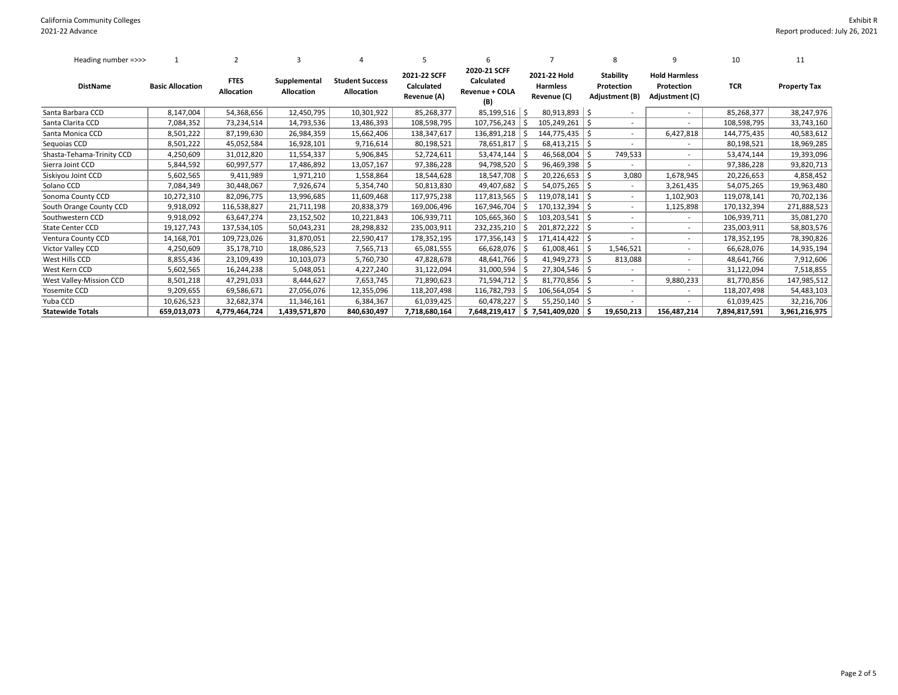| Heading number =>>>       |                         | 2                         |                                   |                                      | 5                                         | 6                                                   |     |                                                |      | 8                                                | 9                                                    | 10            | 11                  |
|---------------------------|-------------------------|---------------------------|-----------------------------------|--------------------------------------|-------------------------------------------|-----------------------------------------------------|-----|------------------------------------------------|------|--------------------------------------------------|------------------------------------------------------|---------------|---------------------|
| <b>DistName</b>           | <b>Basic Allocation</b> | <b>FTES</b><br>Allocation | Supplemental<br><b>Allocation</b> | <b>Student Success</b><br>Allocation | 2021-22 SCFF<br>Calculated<br>Revenue (A) | 2020-21 SCFF<br>Calculated<br>Revenue + COLA<br>(B) |     | 2021-22 Hold<br><b>Harmless</b><br>Revenue (C) |      | <b>Stability</b><br>Protection<br>Adjustment (B) | <b>Hold Harmless</b><br>Protection<br>Adjustment (C) | TCR           | <b>Property Tax</b> |
| Santa Barbara CCD         | 8,147,004               | 54,368,656                | 12,450,795                        | 10,301,922                           | 85,268,377                                | $85,199,516$ \$                                     |     | $80,913,893$ \$                                |      |                                                  |                                                      | 85,268,377    | 38,247,976          |
| Santa Clarita CCD         | 7,084,352               | 73,234,514                | 14,793,536                        | 13,486,393                           | 108,598,795                               | 107,756,243                                         |     | 105,249,261                                    | l \$ |                                                  |                                                      | 108,598,795   | 33,743,160          |
| Santa Monica CCD          | 8,501,222               | 87,199,630                | 26,984,359                        | 15,662,406                           | 138,347,617                               | 136,891,218                                         |     | 144,775,435   \$                               |      |                                                  | 6,427,818                                            | 144,775,435   | 40,583,612          |
| Sequoias CCD              | 8,501,222               | 45,052,584                | 16,928,101                        | 9,716,614                            | 80,198,521                                | 78,651,817                                          |     | $68,413,215$ \$                                |      |                                                  |                                                      | 80,198,521    | 18,969,285          |
| Shasta-Tehama-Trinity CCD | 4,250,609               | 31,012,820                | 11,554,337                        | 5,906,845                            | 52,724,611                                | 53,474,144                                          |     | 46,568,004                                     | l \$ | 749,533                                          | ٠                                                    | 53,474,144    | 19,393,096          |
| Sierra Joint CCD          | 5,844,592               | 60,997,577                | 17,486,892                        | 13,057,167                           | 97,386,228                                | 94,798,520                                          |     | $96,469,398$ \$                                |      |                                                  |                                                      | 97,386,228    | 93,820,713          |
| Siskiyou Joint CCD        | 5,602,565               | 9,411,989                 | 1,971,210                         | 1,558,864                            | 18,544,628                                | 18,547,708                                          |     | $20,226,653$ \$                                |      | 3,080                                            | 1,678,945                                            | 20,226,653    | 4,858,452           |
| Solano CCD                | 7,084,349               | 30,448,067                | 7,926,674                         | 5,354,740                            | 50,813,830                                | 49,407,682                                          |     | $54,075,265$ \$                                |      |                                                  | 3,261,435                                            | 54,075,265    | 19,963,480          |
| Sonoma County CCD         | 10,272,310              | 82,096,775                | 13,996,685                        | 11,609,468                           | 117,975,238                               | 117,813,565                                         |     | $119,078,141$ \$                               |      |                                                  | 1,102,903                                            | 119,078,141   | 70,702,136          |
| South Orange County CCD   | 9,918,092               | 116,538,827               | 21,711,198                        | 20,838,379                           | 169,006,496                               | 167,946,704                                         | - S | $170, 132, 394$ \$                             |      |                                                  | 1,125,898                                            | 170,132,394   | 271,888,523         |
| Southwestern CCD          | 9,918,092               | 63,647,274                | 23,152,502                        | 10,221,843                           | 106,939,711                               | 105,665,360                                         | l S | $103,203,541$ \$                               |      |                                                  | $\overline{\phantom{a}}$                             | 106,939,711   | 35,081,270          |
| <b>State Center CCD</b>   | 19,127,743              | 137,534,105               | 50,043,231                        | 28,298,832                           | 235,003,911                               | 232,235,210                                         | ۱S  | $201,872,222$ \$                               |      |                                                  | $\overline{\phantom{a}}$                             | 235,003,911   | 58,803,576          |
| Ventura County CCD        | 14,168,701              | 109,723,026               | 31,870,051                        | 22,590,417                           | 178,352,195                               | 177,356,143                                         | l S | $171,414,422$ \$                               |      |                                                  | $\overline{\phantom{a}}$                             | 178,352,195   | 78,390,826          |
| Victor Valley CCD         | 4,250,609               | 35,178,710                | 18,086,523                        | 7,565,713                            | 65,081,555                                | $66,628,076$ \$                                     |     | $61,008,461$ \$                                |      | 1,546,521                                        | $\overline{\phantom{a}}$                             | 66,628,076    | 14,935,194          |
| West Hills CCD            | 8,855,436               | 23,109,439                | 10,103,073                        | 5,760,730                            | 47,828,678                                | 48,641,766   \$                                     |     | $41,949,273$ \$                                |      | 813,088                                          | $\overline{\phantom{a}}$                             | 48,641,766    | 7,912,606           |
| West Kern CCD             | 5,602,565               | 16,244,238                | 5,048,051                         | 4,227,240                            | 31,122,094                                | 31,000,594                                          | l S | $27,304,546$ \$                                |      |                                                  | ٠                                                    | 31,122,094    | 7,518,855           |
| West Valley-Mission CCD   | 8,501,218               | 47,291,033                | 8,444,627                         | 7,653,745                            | 71,890,623                                | 71,594,712   \$                                     |     | $81,770,856$   \$                              |      |                                                  | 9,880,233                                            | 81,770,856    | 147,985,512         |
| Yosemite CCD              | 9,209,655               | 69,586,671                | 27,056,076                        | 12,355,096                           | 118,207,498                               | 116,782,793                                         | l S | $106,564,054$ \$                               |      |                                                  |                                                      | 118,207,498   | 54,483,103          |
| Yuba CCD                  | 10,626,523              | 32,682,374                | 11,346,161                        | 6,384,367                            | 61,039,425                                | 60,478,227                                          |     | $55,250,140$   \$                              |      |                                                  |                                                      | 61,039,425    | 32,216,706          |
| <b>Statewide Totals</b>   | 659,013,073             | 4,779,464,724             | 1,439,571,870                     | 840,630,497                          | 7,718,680,164                             | 7,648,219,417                                       |     | $\frac{1}{2}$ 7,541,409,020 $\frac{1}{2}$      |      | 19,650,213                                       | 156,487,214                                          | 7,894,817,591 | 3,961,216,975       |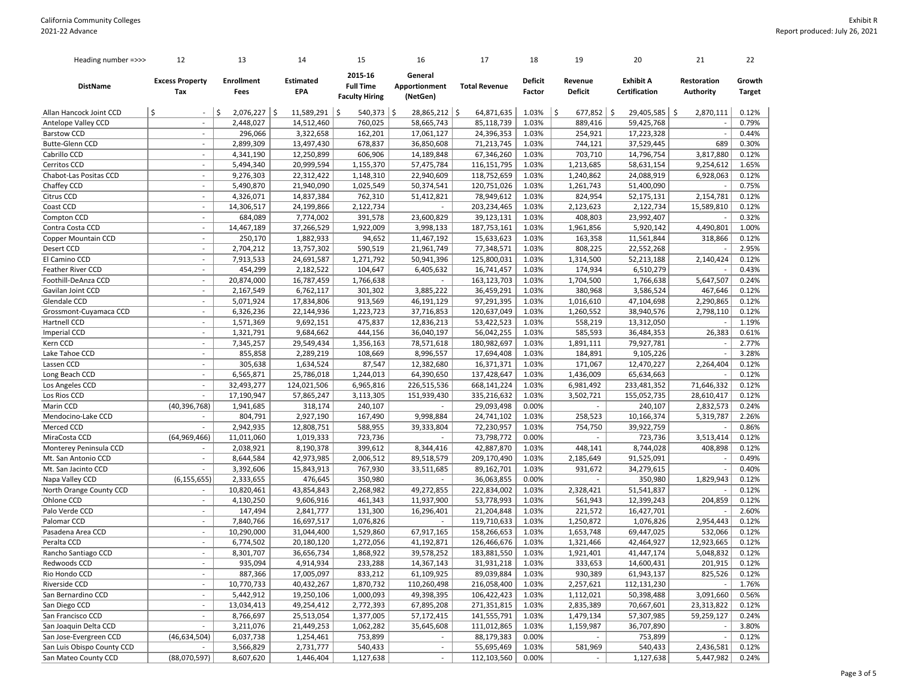| Heading number =>>>            | 12                            | 13                        | 14                             | 15                                                   | 16                                   | 17                        | 18                       | 19                        | 20                                | 21                              | 22                      |
|--------------------------------|-------------------------------|---------------------------|--------------------------------|------------------------------------------------------|--------------------------------------|---------------------------|--------------------------|---------------------------|-----------------------------------|---------------------------------|-------------------------|
| <b>DistName</b>                | <b>Excess Property</b><br>Tax | <b>Enrollment</b><br>Fees | <b>Estimated</b><br><b>EPA</b> | 2015-16<br><b>Full Time</b><br><b>Faculty Hiring</b> | General<br>Apportionment<br>(NetGen) | <b>Total Revenue</b>      | <b>Deficit</b><br>Factor | Revenue<br><b>Deficit</b> | <b>Exhibit A</b><br>Certification | Restoration<br><b>Authority</b> | Growth<br><b>Target</b> |
| Allan Hancock Joint CCD        | \$<br>$\sim$                  | \$<br>$2,076,227$ \$      | 11,589,291   \$                | $540,373$ \$                                         | 28,865,212   \$                      | 64,871,635                | 1.03%                    | $677,852$ \$<br>\$        | 29,405,585                        | S.<br>2,870,111                 | 0.12%                   |
| Antelope Valley CCD            | $\sim$                        | 2,448,027                 | 14,512,460                     | 760,025                                              | 58,665,743                           | 85,118,739                | 1.03%                    | 889,416                   | 59,425,768                        |                                 | 0.79%                   |
| <b>Barstow CCD</b>             | $\overline{\phantom{a}}$      | 296,066                   | 3,322,658                      | 162,201                                              | 17,061,127                           | 24,396,353                | 1.03%                    | 254,921                   | 17,223,328                        |                                 | 0.44%                   |
| <b>Butte-Glenn CCD</b>         | $\sim$                        | 2,899,309                 | 13,497,430                     | 678,837                                              | 36,850,608                           | 71,213,745                | 1.03%                    | 744,121                   | 37,529,445                        | 689                             | 0.30%                   |
| Cabrillo CCD                   | $\sim$                        | 4,341,190                 | 12,250,899                     | 606,906                                              | 14,189,848                           | 67,346,260                | 1.03%                    | 703,710                   | 14,796,754                        | 3,817,880                       | 0.12%                   |
| Cerritos CCD                   | $\overline{\phantom{a}}$      | 5,494,340                 | 20,999,594                     | 1,155,370                                            | 57,475,784                           | 116,151,795               | 1.03%                    | 1,213,685                 | 58,631,154                        | 9,254,612                       | 1.65%                   |
| Chabot-Las Positas CCD         | $\overline{\phantom{a}}$      | 9,276,303                 | 22,312,422                     | 1,148,310                                            | 22,940,609                           | 118,752,659               | 1.03%                    | 1,240,862                 | 24,088,919                        | 6,928,063                       | 0.12%                   |
| Chaffey CCD                    | $\sim$                        | 5,490,870                 | 21,940,090                     | 1,025,549                                            | 50,374,541                           | 120,751,026               | 1.03%                    | 1,261,743                 | 51,400,090                        |                                 | 0.75%                   |
| Citrus CCD                     | $\sim$                        | 4,326,071                 | 14,837,384                     | 762,310                                              | 51,412,821                           | 78,949,612                | 1.03%                    | 824,954                   | 52,175,131                        | 2,154,781                       | 0.12%                   |
| Coast CCD                      | $\sim$                        | 14,306,517                | 24,199,866                     | 2,122,734                                            | $\overline{\phantom{a}}$             | 203,234,465               | 1.03%                    | 2,123,623                 | 2,122,734                         | 15,589,810                      | 0.12%                   |
| Compton CCD                    | $\sim$                        | 684,089                   | 7,774,002                      | 391,578                                              | 23,600,829                           | 39,123,131                | 1.03%                    | 408,803                   | 23,992,407                        |                                 | 0.32%                   |
| Contra Costa CCD               | $\overline{\phantom{a}}$      | 14,467,189                | 37,266,529                     | 1,922,009                                            | 3,998,133                            | 187,753,161               | 1.03%                    | 1,961,856                 | 5,920,142                         | 4,490,801                       | 1.00%                   |
| Copper Mountain CCD            | $\overline{\phantom{a}}$      | 250,170                   | 1,882,933                      | 94,652                                               | 11,467,192                           | 15,633,623                | 1.03%                    | 163,358                   | 11,561,844                        | 318,866                         | 0.12%                   |
| Desert CCD                     | $\overline{\phantom{a}}$      | 2,704,212                 | 13,757,302                     | 590,519                                              | 21,961,749                           | 77,348,571                | 1.03%                    | 808,225                   | 22,552,268                        |                                 | 2.95%                   |
| El Camino CCD                  | $\overline{\phantom{a}}$      | 7,913,533                 | 24,691,587                     | 1,271,792                                            | 50,941,396                           | 125,800,031               | 1.03%                    | 1,314,500                 | 52,213,188                        | 2,140,424                       | 0.12%                   |
| Feather River CCD              | $\overline{\phantom{a}}$      | 454,299                   | 2,182,522                      | 104,647                                              | 6,405,632                            | 16,741,457                | 1.03%                    | 174,934                   | 6,510,279                         |                                 | 0.43%                   |
| Foothill-DeAnza CCD            | $\sim$                        | 20,874,000                | 16,787,459                     | 1,766,638                                            |                                      | 163,123,703               | 1.03%                    | 1,704,500                 | 1,766,638                         | 5,647,507                       | 0.24%                   |
| Gavilan Joint CCD              | $\sim$                        | 2,167,549                 | 6,762,117                      | 301,302                                              | 3,885,222                            | 36,459,291                | 1.03%                    | 380,968                   | 3,586,524                         | 467,646                         | 0.12%                   |
| Glendale CCD                   | $\blacksquare$                | 5,071,924                 | 17,834,806                     | 913,569                                              | 46,191,129                           | 97,291,395                | 1.03%                    | 1,016,610                 | 47,104,698                        | 2,290,865                       | 0.12%                   |
| Grossmont-Cuyamaca CCD         | $\sim$                        | 6,326,236                 | 22,144,936                     | 1,223,723                                            | 37,716,853                           | 120,637,049               | 1.03%                    | 1,260,552                 | 38,940,576                        | 2,798,110                       | 0.12%                   |
| Hartnell CCD                   | $\overline{\phantom{a}}$      | 1,571,369                 | 9,692,151                      | 475,837                                              | 12,836,213                           | 53,422,523                | 1.03%                    | 558,219                   | 13,312,050                        |                                 | 1.19%                   |
| <b>Imperial CCD</b>            | $\sim$                        | 1,321,791                 | 9,684,662                      | 444,156                                              | 36,040,197                           | 56,042,255                | 1.03%                    | 585,593                   | 36,484,353                        | 26,383                          | 0.61%                   |
| Kern CCD                       | $\sim$                        | 7,345,257                 | 29,549,434                     | 1,356,163                                            | 78,571,618                           | 180,982,697               | 1.03%                    | 1,891,111                 | 79,927,781                        |                                 | 2.77%                   |
| Lake Tahoe CCD                 | $\blacksquare$                | 855,858                   | 2,289,219                      | 108,669                                              | 8,996,557                            | 17,694,408                | 1.03%                    | 184,891                   | 9,105,226                         |                                 | 3.28%                   |
| Lassen CCD                     | $\overline{\phantom{a}}$      | 305,638                   | 1,634,524                      | 87,547                                               | 12,382,680                           | 16,371,371                | 1.03%                    | 171,067                   | 12,470,227                        | 2,264,404                       | 0.12%                   |
| Long Beach CCD                 | $\overline{\phantom{a}}$      | 6,565,871                 | 25,786,018                     | 1,244,013                                            | 64,390,650                           | 137,428,647               | 1.03%                    | 1,436,009                 | 65,634,663                        |                                 | 0.12%                   |
| Los Angeles CCD                | $\sim$                        | 32,493,277                | 124,021,506                    | 6,965,816                                            | 226,515,536                          | 668,141,224               | 1.03%                    | 6,981,492                 | 233,481,352                       | 71,646,332                      | 0.12%                   |
| Los Rios CCD                   | $\sim$                        | 17,190,947                | 57,865,247                     | 3,113,305                                            | 151,939,430                          | 335,216,632               | 1.03%                    | 3,502,721                 | 155,052,735                       | 28,610,417                      | 0.12%                   |
| Marin CCD                      | (40, 396, 768)                | 1,941,685                 | 318,174                        | 240,107                                              |                                      | 29,093,498                | 0.00%                    |                           | 240,107                           | 2,832,573                       | 0.24%                   |
| Mendocino-Lake CCD             | $\overline{\phantom{a}}$      | 804,791                   | 2,927,190                      | 167,490                                              | 9,998,884                            | 24,741,102                | 1.03%                    | 258,523                   | 10,166,374                        | 5,319,787                       | 2.26%                   |
| Merced CCD                     |                               | 2,942,935                 | 12,808,751                     | 588,955                                              | 39,333,804                           | 72,230,957                | 1.03%                    | 754,750                   | 39,922,759                        |                                 | 0.86%                   |
| MiraCosta CCD                  | (64, 969, 466)                | 11,011,060                | 1,019,333                      | 723,736                                              |                                      | 73,798,772                | 0.00%                    |                           | 723,736                           | 3,513,414                       | 0.12%                   |
| Monterey Peninsula CCD         |                               | 2,038,921                 | 8,190,378                      | 399,612                                              | 8,344,416                            | 42,887,870                | 1.03%                    | 448,141                   | 8,744,028                         | 408,898                         | 0.12%                   |
| Mt. San Antonio CCD            | $\sim$                        | 8,644,584                 | 42,973,985                     | 2,006,512                                            | 89,518,579                           | 209,170,490               | 1.03%                    | 2,185,649                 | 91,525,091                        |                                 | 0.49%                   |
| Mt. San Jacinto CCD            | $\sim$                        | 3,392,606                 | 15,843,913                     | 767,930                                              | 33,511,685                           | 89,162,701                | 1.03%                    | 931,672                   | 34,279,615                        |                                 | 0.40%                   |
| Napa Valley CCD                | (6, 155, 655)                 | 2,333,655                 | 476,645                        | 350,980                                              | $\overline{\phantom{a}}$             | 36,063,855                | 0.00%                    | $\overline{\phantom{a}}$  | 350,980                           | 1,829,943                       | 0.12%                   |
| North Orange County CCD        | $\sim$                        | 10,820,461                | 43,854,843                     | 2,268,982                                            | 49,272,855                           | 222,834,002               | 1.03%                    | 2,328,421                 | 51,541,837                        |                                 | 0.12%                   |
| Ohlone CCD                     | $\overline{\phantom{a}}$      | 4,130,250                 | 9,606,916                      | 461,343                                              | 11,937,900                           | 53,778,993                | 1.03%                    | 561,943                   | 12,399,243                        | 204,859                         | 0.12%                   |
| Palo Verde CCD                 | $\overline{\phantom{a}}$      | 147,494                   | 2,841,777                      | 131,300                                              | 16,296,401                           | 21,204,848                | 1.03%                    | 221,572                   | 16,427,701                        |                                 | 2.60%                   |
| Palomar CCD                    | $\sim$                        | 7,840,766                 | 16,697,517                     | 1,076,826                                            | $\overline{\phantom{a}}$             | 119,710,633               | 1.03%                    | 1,250,872                 | 1,076,826                         | 2,954,443                       | 0.12%                   |
| Pasadena Area CCD              | $\overline{\phantom{a}}$      | 10,290,000                | 31,044,400                     | 1,529,860                                            | 67,917,165                           | 158,266,653               | 1.03%                    | 1,653,748                 | 69,447,025                        | 532,066                         | 0.12%                   |
| Peralta CCD                    | $\overline{\phantom{a}}$      | 6,774,502                 | 20,180,120                     | 1,272,056                                            | 41,192,871                           | 126,466,676               | 1.03%                    | 1,321,466                 | 42,464,927                        | 12,923,665                      | 0.12%                   |
| Rancho Santiago CCD            | $\sim$                        | 8,301,707                 | 36,656,734                     | 1,868,922                                            | 39,578,252                           | 183,881,550               | 1.03%                    | 1,921,401                 | 41,447,174                        | 5,048,832                       | 0.12%                   |
| Redwoods CCD                   |                               | 935,094                   | 4,914,934                      | 233,288                                              | 14,367,143                           | 31,931,218                | 1.03%                    | 333,653                   | 14,600,431                        | 201,915                         | 0.12%                   |
|                                | $\sim$                        |                           |                                |                                                      | 61,109,925                           |                           | 1.03%                    |                           |                                   | 825,526                         | 0.12%                   |
| Rio Hondo CCD<br>Riverside CCD | $\overline{\phantom{a}}$      | 887,366<br>10,770,733     | 17,005,097<br>40,432,267       | 833,212<br>1,870,732                                 | 110,260,498                          | 89,039,884<br>216,058,400 | 1.03%                    | 930,389<br>2,257,621      | 61,943,137<br>112,131,230         |                                 | 1.76%                   |
| San Bernardino CCD             | $\sim$                        | 5,442,912                 | 19,250,106                     | 1,000,093                                            | 49,398,395                           | 106,422,423               | 1.03%                    | 1,112,021                 | 50,398,488                        | 3,091,660                       | 0.56%                   |
| San Diego CCD                  | $\overline{\phantom{a}}$      | 13,034,413                | 49,254,412                     | 2,772,393                                            | 67,895,208                           | 271,351,815               | 1.03%                    | 2,835,389                 | 70,667,601                        | 23,313,822                      | 0.12%                   |
| San Francisco CCD              | $\sim$                        | 8,766,697                 | 25,513,054                     | 1,377,005                                            | 57,172,415                           | 141,555,791               | 1.03%                    | 1,479,134                 | 57,307,985                        | 59,259,127                      | 0.24%                   |
| San Joaquin Delta CCD          | $\sim$                        |                           |                                |                                                      |                                      |                           |                          |                           |                                   |                                 |                         |
| San Jose-Evergreen CCD         | (46, 634, 504)                | 3,211,076<br>6,037,738    | 21,449,253<br>1,254,461        | 1,062,282<br>753,899                                 | 35,645,608<br>$\blacksquare$         | 111,012,865<br>88,179,383 | 1.03%<br>0.00%           | 1,159,987                 | 36,707,890<br>753,899             |                                 | 3.80%<br>0.12%          |
| San Luis Obispo County CCD     | $\overline{\phantom{a}}$      | 3,566,829                 | 2,731,777                      | 540,433                                              | $\blacksquare$                       | 55,695,469                | 1.03%                    |                           | 540,433                           |                                 | 0.12%                   |
| San Mateo County CCD           | (88,070,597)                  | 8,607,620                 | 1,446,404                      | 1,127,638                                            | $\overline{\phantom{a}}$             | 112,103,560               | 0.00%                    | 581,969                   | 1,127,638                         | 2,436,581<br>5,447,982          | 0.24%                   |
|                                |                               |                           |                                |                                                      |                                      |                           |                          |                           |                                   |                                 |                         |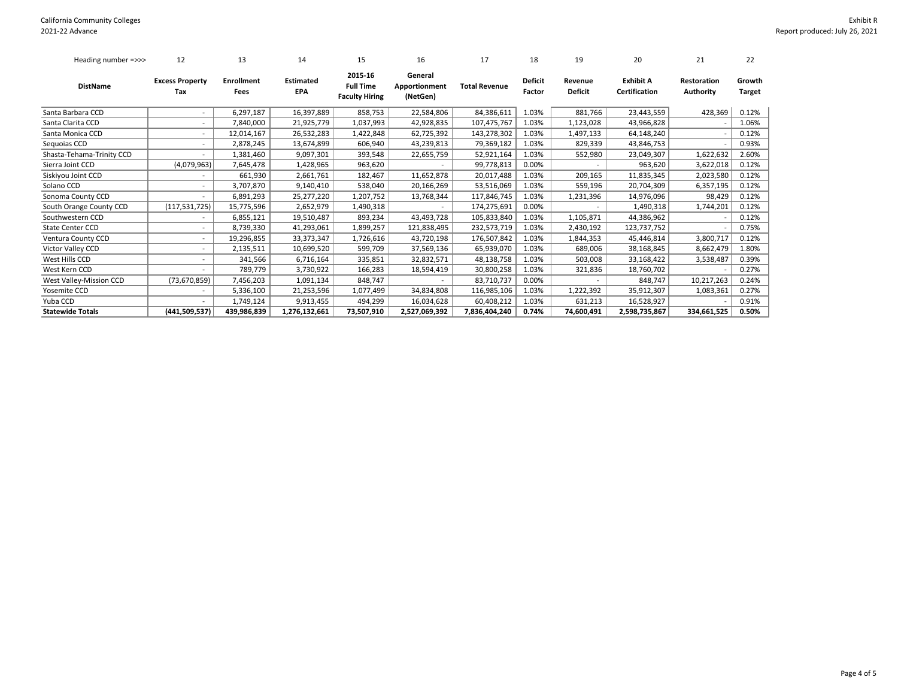## Exhibit R Report produced: July 26, 2021

| Heading number =>>>       | 12                            | 13                        | 14                      | 15                                                   | 16                                   | 17                   | 18                       | 19                        | 20                                       | 21                              | 22                      |
|---------------------------|-------------------------------|---------------------------|-------------------------|------------------------------------------------------|--------------------------------------|----------------------|--------------------------|---------------------------|------------------------------------------|---------------------------------|-------------------------|
| <b>DistName</b>           | <b>Excess Property</b><br>Tax | <b>Enrollment</b><br>Fees | <b>Estimated</b><br>EPA | 2015-16<br><b>Full Time</b><br><b>Faculty Hiring</b> | General<br>Apportionment<br>(NetGen) | <b>Total Revenue</b> | <b>Deficit</b><br>Factor | Revenue<br><b>Deficit</b> | <b>Exhibit A</b><br><b>Certification</b> | <b>Restoration</b><br>Authority | Growth<br><b>Target</b> |
| Santa Barbara CCD         |                               | 6,297,187                 | 16,397,889              | 858,753                                              | 22,584,806                           | 84,386,611           | 1.03%                    | 881,766                   | 23,443,559                               | 428,369                         | 0.12%                   |
| Santa Clarita CCD         |                               | 7,840,000                 | 21,925,779              | 1,037,993                                            | 42,928,835                           | 107,475,767          | 1.03%                    | 1,123,028                 | 43,966,828                               |                                 | 1.06%                   |
| Santa Monica CCD          |                               | 12,014,167                | 26,532,283              | 1,422,848                                            | 62,725,392                           | 143,278,302          | 1.03%                    | 1,497,133                 | 64,148,240                               |                                 | 0.12%                   |
| Sequoias CCD              |                               | 2,878,245                 | 13,674,899              | 606,940                                              | 43,239,813                           | 79,369,182           | 1.03%                    | 829,339                   | 43,846,753                               |                                 | 0.93%                   |
| Shasta-Tehama-Trinity CCD |                               | 1,381,460                 | 9,097,301               | 393,548                                              | 22,655,759                           | 52,921,164           | 1.03%                    | 552,980                   | 23,049,307                               | 1,622,632                       | 2.60%                   |
| Sierra Joint CCD          | (4,079,963)                   | 7,645,478                 | 1,428,965               | 963,620                                              |                                      | 99,778,813           | 0.00%                    |                           | 963,620                                  | 3,622,018                       | 0.12%                   |
| Siskiyou Joint CCD        |                               | 661,930                   | 2,661,761               | 182,467                                              | 11,652,878                           | 20,017,488           | 1.03%                    | 209,165                   | 11,835,345                               | 2,023,580                       | 0.12%                   |
| Solano CCD                |                               | 3,707,870                 | 9,140,410               | 538,040                                              | 20,166,269                           | 53,516,069           | 1.03%                    | 559,196                   | 20,704,309                               | 6,357,195                       | 0.12%                   |
| Sonoma County CCD         |                               | 6,891,293                 | 25,277,220              | 1,207,752                                            | 13,768,344                           | 117,846,745          | 1.03%                    | 1,231,396                 | 14,976,096                               | 98,429                          | 0.12%                   |
| South Orange County CCD   | (117, 531, 725)               | 15,775,596                | 2,652,979               | 1,490,318                                            |                                      | 174,275,691          | 0.00%                    |                           | 1,490,318                                | 1,744,201                       | 0.12%                   |
| Southwestern CCD          |                               | 6,855,121                 | 19,510,487              | 893,234                                              | 43,493,728                           | 105,833,840          | 1.03%                    | 1,105,871                 | 44,386,962                               |                                 | 0.12%                   |
| <b>State Center CCD</b>   |                               | 8,739,330                 | 41,293,061              | 1,899,257                                            | 121,838,495                          | 232,573,719          | 1.03%                    | 2,430,192                 | 123,737,752                              |                                 | 0.75%                   |
| Ventura County CCD        |                               | 19,296,855                | 33,373,347              | 1,726,616                                            | 43,720,198                           | 176,507,842          | 1.03%                    | 1,844,353                 | 45,446,814                               | 3,800,717                       | 0.12%                   |
| Victor Valley CCD         | $\overline{\phantom{a}}$      | 2,135,511                 | 10,699,520              | 599,709                                              | 37,569,136                           | 65,939,070           | 1.03%                    | 689,006                   | 38,168,845                               | 8,662,479                       | 1.80%                   |
| West Hills CCD            |                               | 341,566                   | 6,716,164               | 335,851                                              | 32,832,571                           | 48,138,758           | 1.03%                    | 503,008                   | 33,168,422                               | 3,538,487                       | 0.39%                   |
| West Kern CCD             |                               | 789,779                   | 3,730,922               | 166,283                                              | 18,594,419                           | 30,800,258           | 1.03%                    | 321,836                   | 18,760,702                               |                                 | 0.27%                   |
| West Valley-Mission CCD   | (73, 670, 859)                | 7,456,203                 | 1,091,134               | 848,747                                              |                                      | 83,710,737           | 0.00%                    |                           | 848,747                                  | 10,217,263                      | 0.24%                   |
| Yosemite CCD              |                               | 5,336,100                 | 21,253,596              | 1,077,499                                            | 34,834,808                           | 116,985,106          | 1.03%                    | 1,222,392                 | 35,912,307                               | 1,083,361                       | 0.27%                   |
| Yuba CCD                  |                               | 1,749,124                 | 9,913,455               | 494,299                                              | 16,034,628                           | 60,408,212           | 1.03%                    | 631,213                   | 16,528,927                               |                                 | 0.91%                   |
| <b>Statewide Totals</b>   | (441, 509, 537)               | 439,986,839               | 1,276,132,661           | 73,507,910                                           | 2,527,069,392                        | 7,836,404,240        | 0.74%                    | 74,600,491                | 2,598,735,867                            | 334,661,525                     | 0.50%                   |